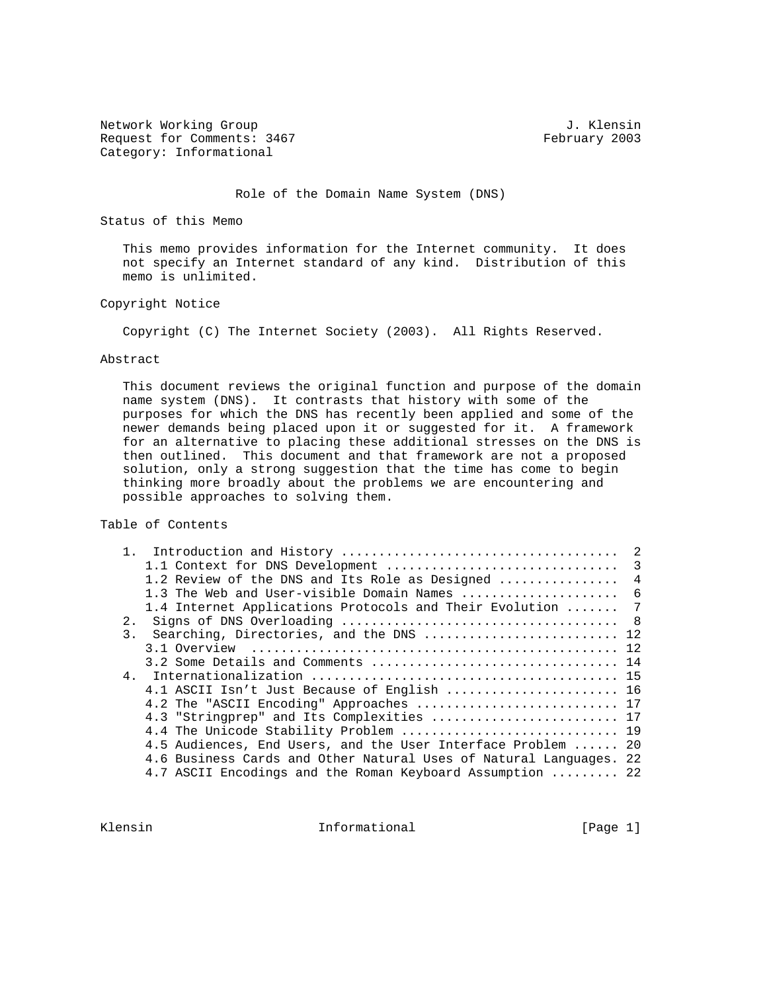Network Working Group 3. The Second Second Second Second Second Second Second Second Second Second Second Second Second Second Second Second Second Second Second Second Second Second Second Second Second Second Second Seco Request for Comments: 3467 February 2003 Category: Informational

Role of the Domain Name System (DNS)

Status of this Memo

 This memo provides information for the Internet community. It does not specify an Internet standard of any kind. Distribution of this memo is unlimited.

### Copyright Notice

Copyright (C) The Internet Society (2003). All Rights Reserved.

#### Abstract

 This document reviews the original function and purpose of the domain name system (DNS). It contrasts that history with some of the purposes for which the DNS has recently been applied and some of the newer demands being placed upon it or suggested for it. A framework for an alternative to placing these additional stresses on the DNS is then outlined. This document and that framework are not a proposed solution, only a strong suggestion that the time has come to begin thinking more broadly about the problems we are encountering and possible approaches to solving them.

Table of Contents

| 1.2 Review of the DNS and Its Role as Designed  4                  |  |
|--------------------------------------------------------------------|--|
| 1.3 The Web and User-visible Domain Names  6                       |  |
| 1.4 Internet Applications Protocols and Their Evolution  7         |  |
| 2.1                                                                |  |
| Searching, Directories, and the DNS  12<br>3 <sub>1</sub>          |  |
|                                                                    |  |
|                                                                    |  |
|                                                                    |  |
| 4.1 ASCII Isn't Just Because of English  16                        |  |
| 4.2 The "ASCII Encoding" Approaches  17                            |  |
| 4.3 "Stringprep" and Its Complexities  17                          |  |
| 4.4 The Unicode Stability Problem  19                              |  |
| 4.5 Audiences, End Users, and the User Interface Problem  20       |  |
| 4.6 Business Cards and Other Natural Uses of Natural Languages. 22 |  |
| 4.7 ASCII Encodings and the Roman Keyboard Assumption  22          |  |

Klensin 10 Informational 1999 [Page 1]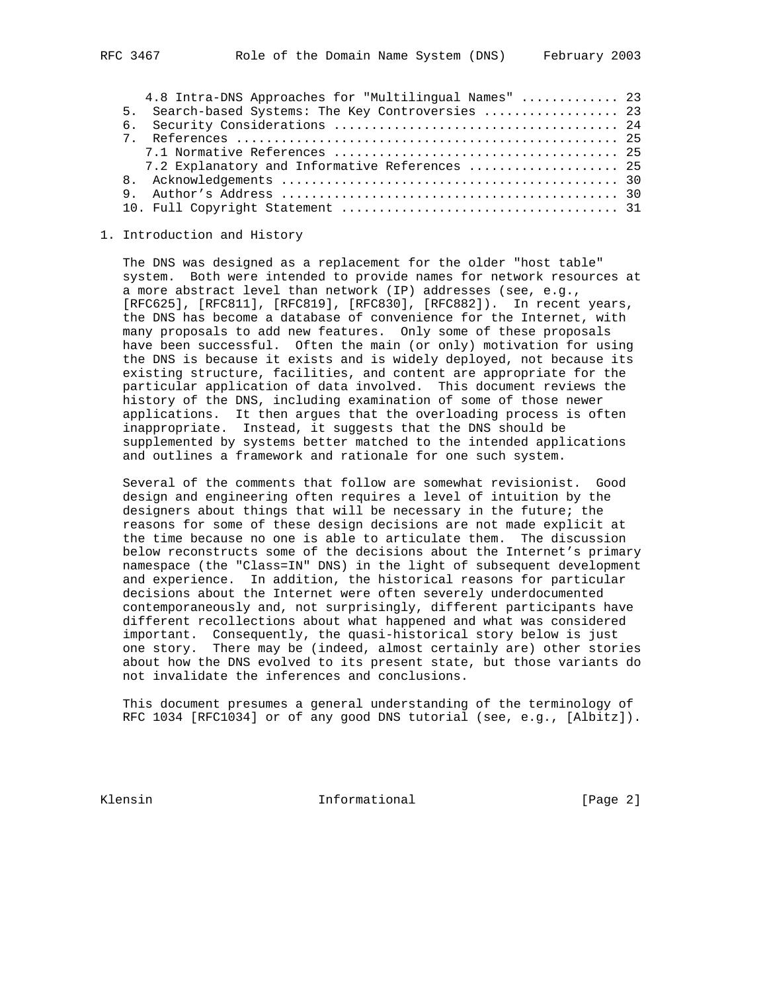| 4.8 Intra-DNS Approaches for "Multilingual Names"  23 |  |
|-------------------------------------------------------|--|
| 5. Search-based Systems: The Key Controversies  23    |  |
|                                                       |  |
|                                                       |  |
|                                                       |  |
| 7.2 Explanatory and Informative References  25        |  |
|                                                       |  |
|                                                       |  |
|                                                       |  |

#### 1. Introduction and History

 The DNS was designed as a replacement for the older "host table" system. Both were intended to provide names for network resources at a more abstract level than network (IP) addresses (see, e.g., [RFC625], [RFC811], [RFC819], [RFC830], [RFC882]). In recent years, the DNS has become a database of convenience for the Internet, with many proposals to add new features. Only some of these proposals have been successful. Often the main (or only) motivation for using the DNS is because it exists and is widely deployed, not because its existing structure, facilities, and content are appropriate for the particular application of data involved. This document reviews the history of the DNS, including examination of some of those newer applications. It then argues that the overloading process is often inappropriate. Instead, it suggests that the DNS should be supplemented by systems better matched to the intended applications and outlines a framework and rationale for one such system.

 Several of the comments that follow are somewhat revisionist. Good design and engineering often requires a level of intuition by the designers about things that will be necessary in the future; the reasons for some of these design decisions are not made explicit at the time because no one is able to articulate them. The discussion below reconstructs some of the decisions about the Internet's primary namespace (the "Class=IN" DNS) in the light of subsequent development and experience. In addition, the historical reasons for particular decisions about the Internet were often severely underdocumented contemporaneously and, not surprisingly, different participants have different recollections about what happened and what was considered important. Consequently, the quasi-historical story below is just one story. There may be (indeed, almost certainly are) other stories about how the DNS evolved to its present state, but those variants do not invalidate the inferences and conclusions.

 This document presumes a general understanding of the terminology of RFC 1034 [RFC1034] or of any good DNS tutorial (see, e.g., [Albitz]).

Klensin 10 and 10 and 111 and 111 and 111 and 112 and 112 and 112 and 121 and 121 and 121 and 121 and 121 and 1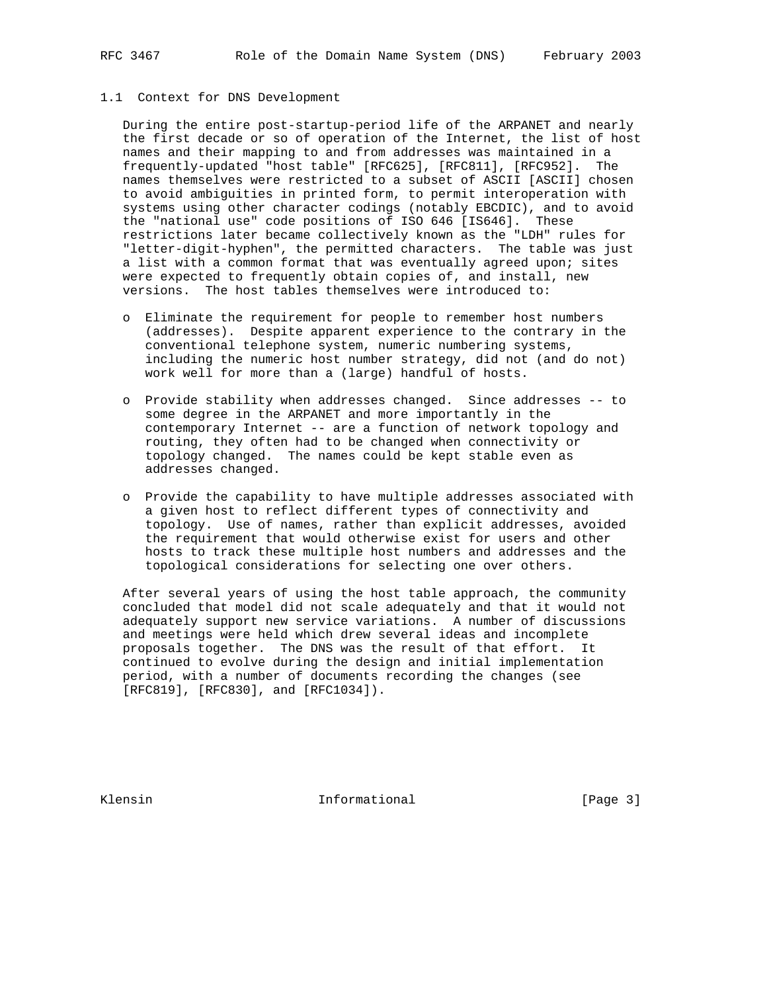#### 1.1 Context for DNS Development

 During the entire post-startup-period life of the ARPANET and nearly the first decade or so of operation of the Internet, the list of host names and their mapping to and from addresses was maintained in a frequently-updated "host table" [RFC625], [RFC811], [RFC952]. The names themselves were restricted to a subset of ASCII [ASCII] chosen to avoid ambiguities in printed form, to permit interoperation with systems using other character codings (notably EBCDIC), and to avoid the "national use" code positions of ISO 646 [IS646]. These restrictions later became collectively known as the "LDH" rules for "letter-digit-hyphen", the permitted characters. The table was just a list with a common format that was eventually agreed upon; sites were expected to frequently obtain copies of, and install, new versions. The host tables themselves were introduced to:

- o Eliminate the requirement for people to remember host numbers (addresses). Despite apparent experience to the contrary in the conventional telephone system, numeric numbering systems, including the numeric host number strategy, did not (and do not) work well for more than a (large) handful of hosts.
- o Provide stability when addresses changed. Since addresses -- to some degree in the ARPANET and more importantly in the contemporary Internet -- are a function of network topology and routing, they often had to be changed when connectivity or topology changed. The names could be kept stable even as addresses changed.
- o Provide the capability to have multiple addresses associated with a given host to reflect different types of connectivity and topology. Use of names, rather than explicit addresses, avoided the requirement that would otherwise exist for users and other hosts to track these multiple host numbers and addresses and the topological considerations for selecting one over others.

 After several years of using the host table approach, the community concluded that model did not scale adequately and that it would not adequately support new service variations. A number of discussions and meetings were held which drew several ideas and incomplete proposals together. The DNS was the result of that effort. It continued to evolve during the design and initial implementation period, with a number of documents recording the changes (see [RFC819], [RFC830], and [RFC1034]).

Klensin 10 Informational [Page 3]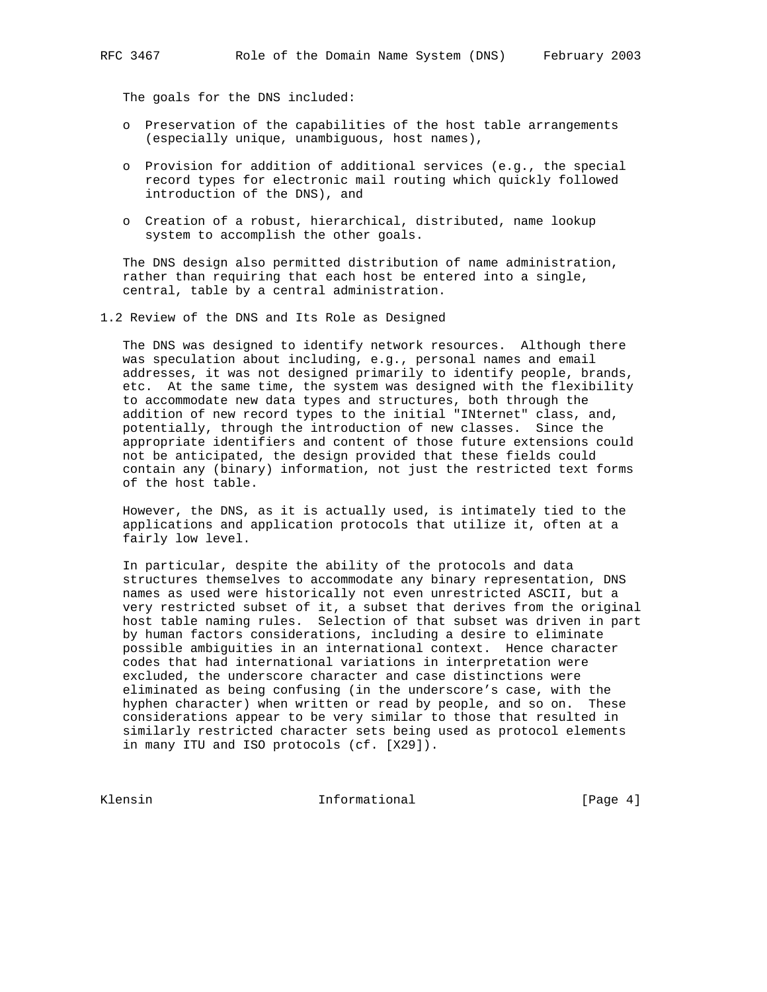The goals for the DNS included:

- o Preservation of the capabilities of the host table arrangements (especially unique, unambiguous, host names),
- o Provision for addition of additional services (e.g., the special record types for electronic mail routing which quickly followed introduction of the DNS), and
- o Creation of a robust, hierarchical, distributed, name lookup system to accomplish the other goals.

 The DNS design also permitted distribution of name administration, rather than requiring that each host be entered into a single, central, table by a central administration.

1.2 Review of the DNS and Its Role as Designed

 The DNS was designed to identify network resources. Although there was speculation about including, e.g., personal names and email addresses, it was not designed primarily to identify people, brands, etc. At the same time, the system was designed with the flexibility to accommodate new data types and structures, both through the addition of new record types to the initial "INternet" class, and, potentially, through the introduction of new classes. Since the appropriate identifiers and content of those future extensions could not be anticipated, the design provided that these fields could contain any (binary) information, not just the restricted text forms of the host table.

 However, the DNS, as it is actually used, is intimately tied to the applications and application protocols that utilize it, often at a fairly low level.

 In particular, despite the ability of the protocols and data structures themselves to accommodate any binary representation, DNS names as used were historically not even unrestricted ASCII, but a very restricted subset of it, a subset that derives from the original host table naming rules. Selection of that subset was driven in part by human factors considerations, including a desire to eliminate possible ambiguities in an international context. Hence character codes that had international variations in interpretation were excluded, the underscore character and case distinctions were eliminated as being confusing (in the underscore's case, with the hyphen character) when written or read by people, and so on. These considerations appear to be very similar to those that resulted in similarly restricted character sets being used as protocol elements in many ITU and ISO protocols (cf. [X29]).

Klensin 10 Informational 11 [Page 4]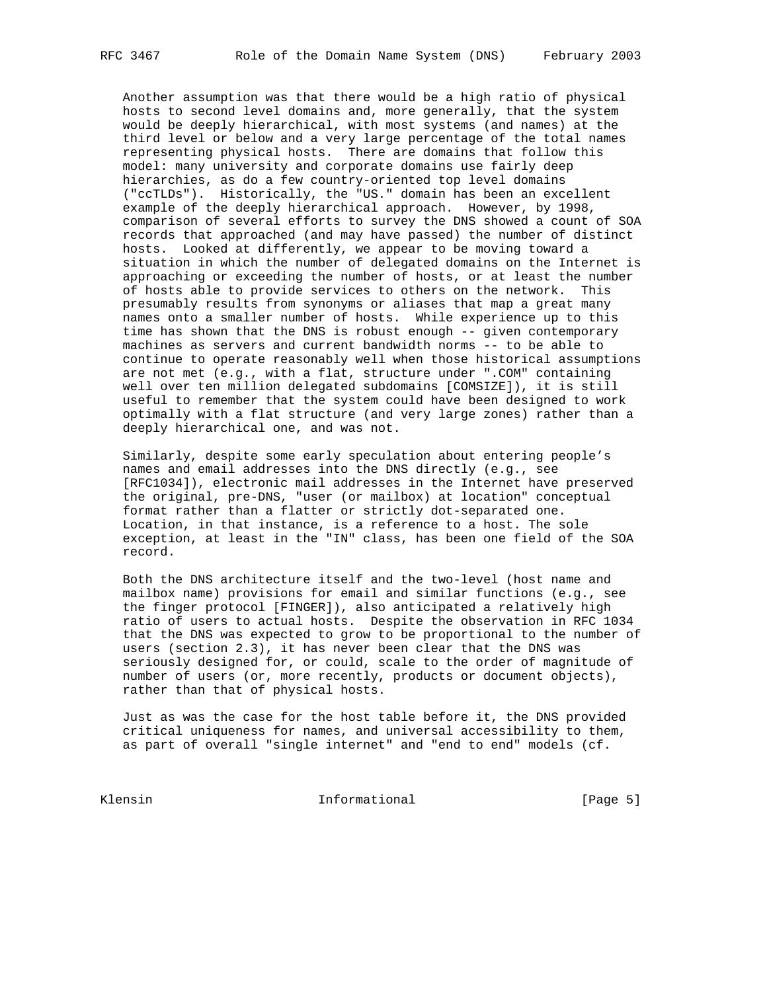Another assumption was that there would be a high ratio of physical hosts to second level domains and, more generally, that the system would be deeply hierarchical, with most systems (and names) at the third level or below and a very large percentage of the total names representing physical hosts. There are domains that follow this model: many university and corporate domains use fairly deep hierarchies, as do a few country-oriented top level domains ("ccTLDs"). Historically, the "US." domain has been an excellent example of the deeply hierarchical approach. However, by 1998, comparison of several efforts to survey the DNS showed a count of SOA records that approached (and may have passed) the number of distinct hosts. Looked at differently, we appear to be moving toward a situation in which the number of delegated domains on the Internet is approaching or exceeding the number of hosts, or at least the number of hosts able to provide services to others on the network. This presumably results from synonyms or aliases that map a great many names onto a smaller number of hosts. While experience up to this time has shown that the DNS is robust enough -- given contemporary machines as servers and current bandwidth norms -- to be able to continue to operate reasonably well when those historical assumptions are not met (e.g., with a flat, structure under ".COM" containing well over ten million delegated subdomains [COMSIZE]), it is still useful to remember that the system could have been designed to work optimally with a flat structure (and very large zones) rather than a deeply hierarchical one, and was not.

 Similarly, despite some early speculation about entering people's names and email addresses into the DNS directly (e.g., see [RFC1034]), electronic mail addresses in the Internet have preserved the original, pre-DNS, "user (or mailbox) at location" conceptual format rather than a flatter or strictly dot-separated one. Location, in that instance, is a reference to a host. The sole exception, at least in the "IN" class, has been one field of the SOA record.

 Both the DNS architecture itself and the two-level (host name and mailbox name) provisions for email and similar functions (e.g., see the finger protocol [FINGER]), also anticipated a relatively high ratio of users to actual hosts. Despite the observation in RFC 1034 that the DNS was expected to grow to be proportional to the number of users (section 2.3), it has never been clear that the DNS was seriously designed for, or could, scale to the order of magnitude of number of users (or, more recently, products or document objects), rather than that of physical hosts.

 Just as was the case for the host table before it, the DNS provided critical uniqueness for names, and universal accessibility to them, as part of overall "single internet" and "end to end" models (cf.

Klensin 10 Informational [Page 5]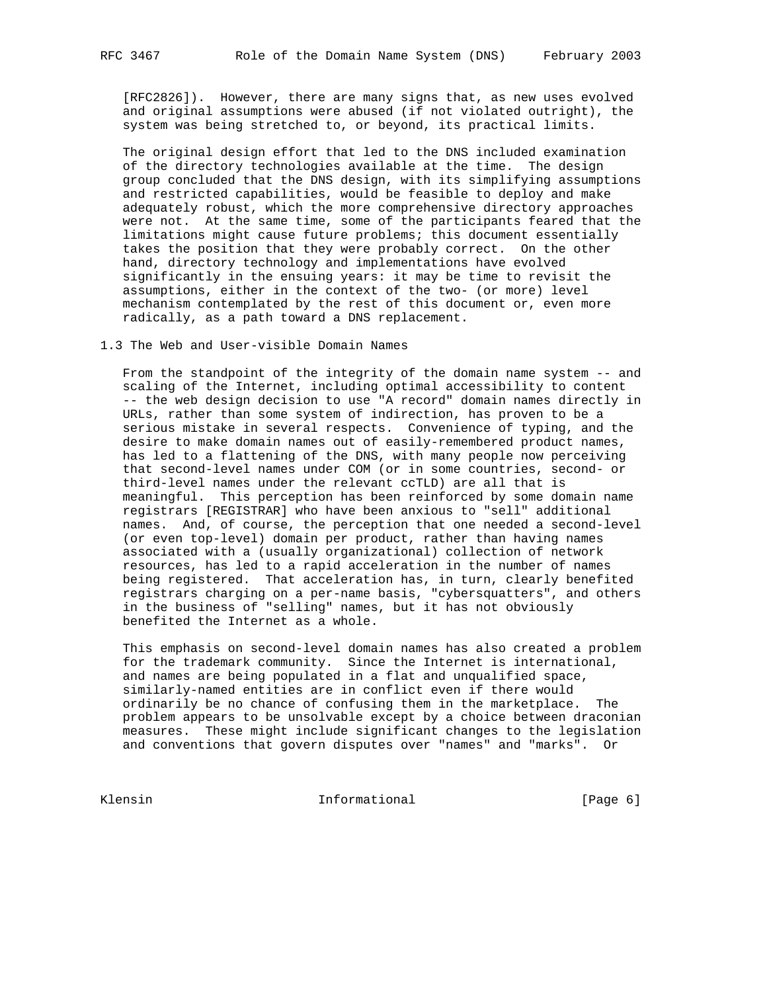[RFC2826]). However, there are many signs that, as new uses evolved and original assumptions were abused (if not violated outright), the system was being stretched to, or beyond, its practical limits.

 The original design effort that led to the DNS included examination of the directory technologies available at the time. The design group concluded that the DNS design, with its simplifying assumptions and restricted capabilities, would be feasible to deploy and make adequately robust, which the more comprehensive directory approaches were not. At the same time, some of the participants feared that the limitations might cause future problems; this document essentially takes the position that they were probably correct. On the other hand, directory technology and implementations have evolved significantly in the ensuing years: it may be time to revisit the assumptions, either in the context of the two- (or more) level mechanism contemplated by the rest of this document or, even more radically, as a path toward a DNS replacement.

## 1.3 The Web and User-visible Domain Names

 From the standpoint of the integrity of the domain name system -- and scaling of the Internet, including optimal accessibility to content -- the web design decision to use "A record" domain names directly in URLs, rather than some system of indirection, has proven to be a serious mistake in several respects. Convenience of typing, and the desire to make domain names out of easily-remembered product names, has led to a flattening of the DNS, with many people now perceiving that second-level names under COM (or in some countries, second- or third-level names under the relevant ccTLD) are all that is meaningful. This perception has been reinforced by some domain name registrars [REGISTRAR] who have been anxious to "sell" additional names. And, of course, the perception that one needed a second-level (or even top-level) domain per product, rather than having names associated with a (usually organizational) collection of network resources, has led to a rapid acceleration in the number of names being registered. That acceleration has, in turn, clearly benefited registrars charging on a per-name basis, "cybersquatters", and others in the business of "selling" names, but it has not obviously benefited the Internet as a whole.

 This emphasis on second-level domain names has also created a problem for the trademark community. Since the Internet is international, and names are being populated in a flat and unqualified space, similarly-named entities are in conflict even if there would ordinarily be no chance of confusing them in the marketplace. The problem appears to be unsolvable except by a choice between draconian measures. These might include significant changes to the legislation and conventions that govern disputes over "names" and "marks". Or

Klensin 10 Informational [Page 6]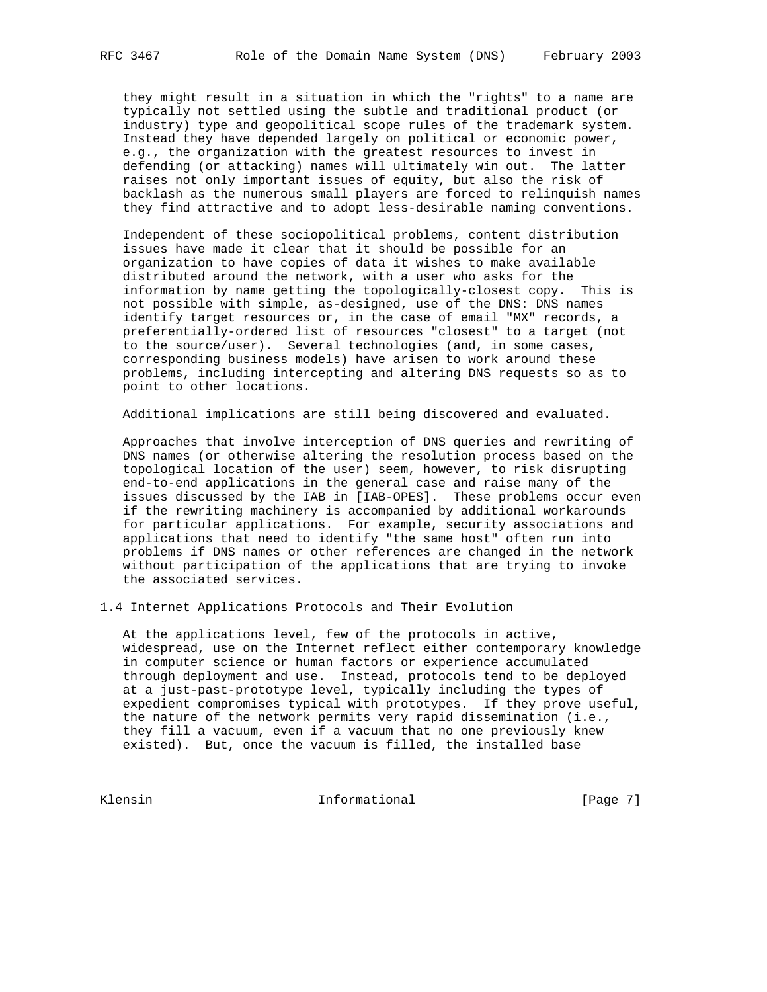they might result in a situation in which the "rights" to a name are typically not settled using the subtle and traditional product (or industry) type and geopolitical scope rules of the trademark system. Instead they have depended largely on political or economic power, e.g., the organization with the greatest resources to invest in defending (or attacking) names will ultimately win out. The latter raises not only important issues of equity, but also the risk of backlash as the numerous small players are forced to relinquish names they find attractive and to adopt less-desirable naming conventions.

 Independent of these sociopolitical problems, content distribution issues have made it clear that it should be possible for an organization to have copies of data it wishes to make available distributed around the network, with a user who asks for the information by name getting the topologically-closest copy. This is not possible with simple, as-designed, use of the DNS: DNS names identify target resources or, in the case of email "MX" records, a preferentially-ordered list of resources "closest" to a target (not to the source/user). Several technologies (and, in some cases, corresponding business models) have arisen to work around these problems, including intercepting and altering DNS requests so as to point to other locations.

Additional implications are still being discovered and evaluated.

 Approaches that involve interception of DNS queries and rewriting of DNS names (or otherwise altering the resolution process based on the topological location of the user) seem, however, to risk disrupting end-to-end applications in the general case and raise many of the issues discussed by the IAB in [IAB-OPES]. These problems occur even if the rewriting machinery is accompanied by additional workarounds for particular applications. For example, security associations and applications that need to identify "the same host" often run into problems if DNS names or other references are changed in the network without participation of the applications that are trying to invoke the associated services.

1.4 Internet Applications Protocols and Their Evolution

 At the applications level, few of the protocols in active, widespread, use on the Internet reflect either contemporary knowledge in computer science or human factors or experience accumulated through deployment and use. Instead, protocols tend to be deployed at a just-past-prototype level, typically including the types of expedient compromises typical with prototypes. If they prove useful, the nature of the network permits very rapid dissemination (i.e., they fill a vacuum, even if a vacuum that no one previously knew existed). But, once the vacuum is filled, the installed base

Klensin 10 Informational [Page 7]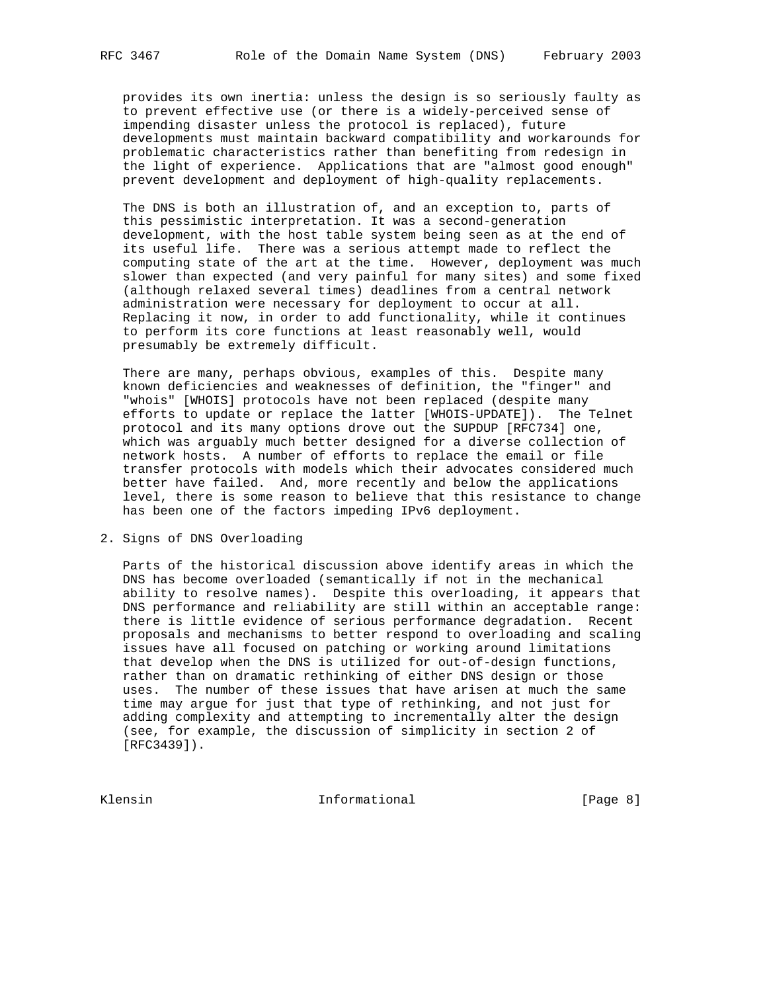provides its own inertia: unless the design is so seriously faulty as to prevent effective use (or there is a widely-perceived sense of impending disaster unless the protocol is replaced), future developments must maintain backward compatibility and workarounds for problematic characteristics rather than benefiting from redesign in the light of experience. Applications that are "almost good enough" prevent development and deployment of high-quality replacements.

 The DNS is both an illustration of, and an exception to, parts of this pessimistic interpretation. It was a second-generation development, with the host table system being seen as at the end of its useful life. There was a serious attempt made to reflect the computing state of the art at the time. However, deployment was much slower than expected (and very painful for many sites) and some fixed (although relaxed several times) deadlines from a central network administration were necessary for deployment to occur at all. Replacing it now, in order to add functionality, while it continues to perform its core functions at least reasonably well, would presumably be extremely difficult.

 There are many, perhaps obvious, examples of this. Despite many known deficiencies and weaknesses of definition, the "finger" and "whois" [WHOIS] protocols have not been replaced (despite many efforts to update or replace the latter [WHOIS-UPDATE]). The Telnet protocol and its many options drove out the SUPDUP [RFC734] one, which was arguably much better designed for a diverse collection of network hosts. A number of efforts to replace the email or file transfer protocols with models which their advocates considered much better have failed. And, more recently and below the applications level, there is some reason to believe that this resistance to change has been one of the factors impeding IPv6 deployment.

2. Signs of DNS Overloading

 Parts of the historical discussion above identify areas in which the DNS has become overloaded (semantically if not in the mechanical ability to resolve names). Despite this overloading, it appears that DNS performance and reliability are still within an acceptable range: there is little evidence of serious performance degradation. Recent proposals and mechanisms to better respond to overloading and scaling issues have all focused on patching or working around limitations that develop when the DNS is utilized for out-of-design functions, rather than on dramatic rethinking of either DNS design or those uses. The number of these issues that have arisen at much the same time may argue for just that type of rethinking, and not just for adding complexity and attempting to incrementally alter the design (see, for example, the discussion of simplicity in section 2 of [RFC3439]).

Klensin 10 Informational 1999 [Page 8]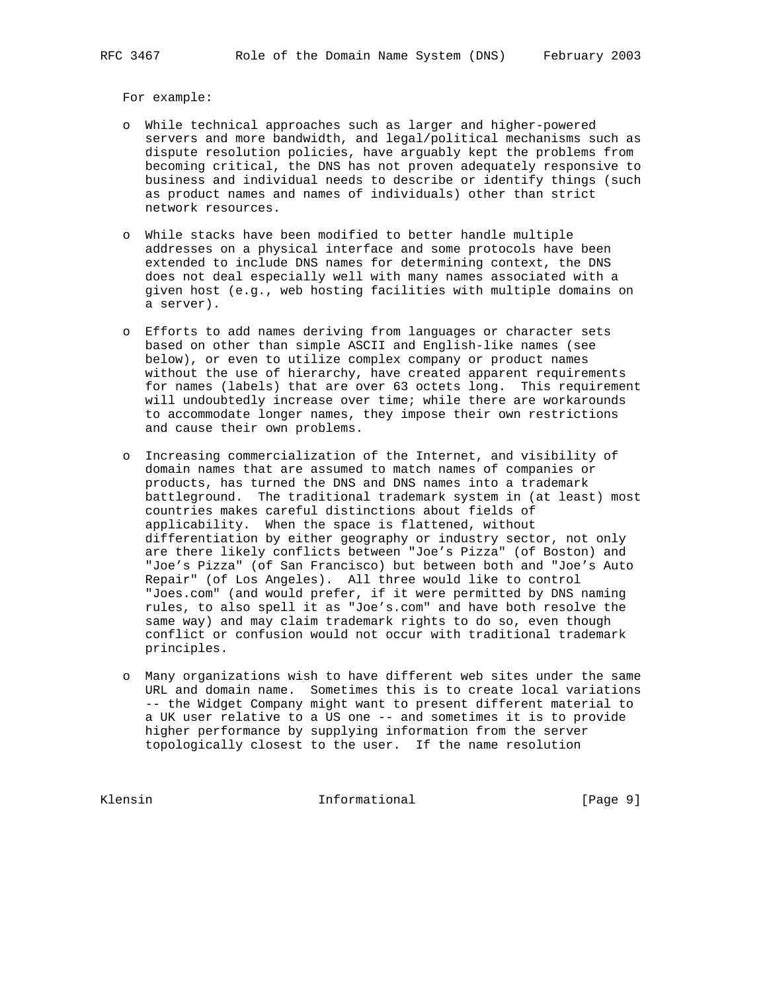For example:

- o While technical approaches such as larger and higher-powered servers and more bandwidth, and legal/political mechanisms such as dispute resolution policies, have arguably kept the problems from becoming critical, the DNS has not proven adequately responsive to business and individual needs to describe or identify things (such as product names and names of individuals) other than strict network resources.
- o While stacks have been modified to better handle multiple addresses on a physical interface and some protocols have been extended to include DNS names for determining context, the DNS does not deal especially well with many names associated with a given host (e.g., web hosting facilities with multiple domains on a server).
- o Efforts to add names deriving from languages or character sets based on other than simple ASCII and English-like names (see below), or even to utilize complex company or product names without the use of hierarchy, have created apparent requirements for names (labels) that are over 63 octets long. This requirement will undoubtedly increase over time; while there are workarounds to accommodate longer names, they impose their own restrictions and cause their own problems.
- o Increasing commercialization of the Internet, and visibility of domain names that are assumed to match names of companies or products, has turned the DNS and DNS names into a trademark battleground. The traditional trademark system in (at least) most countries makes careful distinctions about fields of applicability. When the space is flattened, without differentiation by either geography or industry sector, not only are there likely conflicts between "Joe's Pizza" (of Boston) and "Joe's Pizza" (of San Francisco) but between both and "Joe's Auto Repair" (of Los Angeles). All three would like to control "Joes.com" (and would prefer, if it were permitted by DNS naming rules, to also spell it as "Joe's.com" and have both resolve the same way) and may claim trademark rights to do so, even though conflict or confusion would not occur with traditional trademark principles.
- o Many organizations wish to have different web sites under the same URL and domain name. Sometimes this is to create local variations -- the Widget Company might want to present different material to a UK user relative to a US one -- and sometimes it is to provide higher performance by supplying information from the server topologically closest to the user. If the name resolution

Klensin 10 Informational 1999 [Page 9]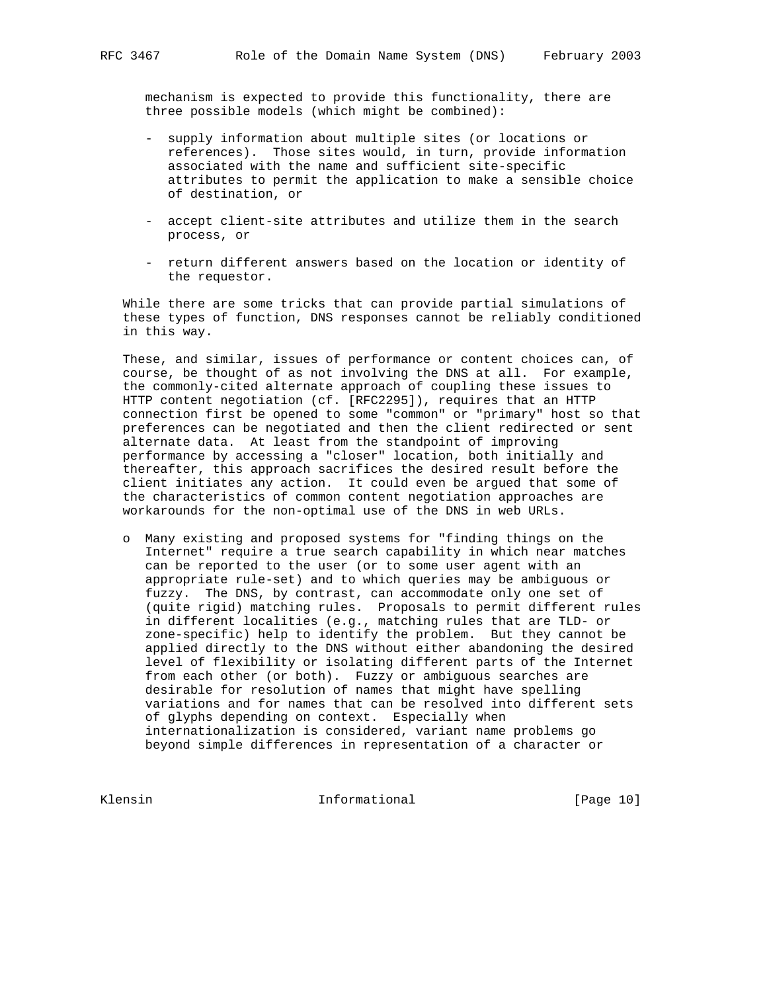mechanism is expected to provide this functionality, there are three possible models (which might be combined):

- supply information about multiple sites (or locations or references). Those sites would, in turn, provide information associated with the name and sufficient site-specific attributes to permit the application to make a sensible choice of destination, or
- accept client-site attributes and utilize them in the search process, or
- return different answers based on the location or identity of the requestor.

 While there are some tricks that can provide partial simulations of these types of function, DNS responses cannot be reliably conditioned in this way.

 These, and similar, issues of performance or content choices can, of course, be thought of as not involving the DNS at all. For example, the commonly-cited alternate approach of coupling these issues to HTTP content negotiation (cf. [RFC2295]), requires that an HTTP connection first be opened to some "common" or "primary" host so that preferences can be negotiated and then the client redirected or sent alternate data. At least from the standpoint of improving performance by accessing a "closer" location, both initially and thereafter, this approach sacrifices the desired result before the client initiates any action. It could even be argued that some of the characteristics of common content negotiation approaches are workarounds for the non-optimal use of the DNS in web URLs.

 o Many existing and proposed systems for "finding things on the Internet" require a true search capability in which near matches can be reported to the user (or to some user agent with an appropriate rule-set) and to which queries may be ambiguous or fuzzy. The DNS, by contrast, can accommodate only one set of (quite rigid) matching rules. Proposals to permit different rules in different localities (e.g., matching rules that are TLD- or zone-specific) help to identify the problem. But they cannot be applied directly to the DNS without either abandoning the desired level of flexibility or isolating different parts of the Internet from each other (or both). Fuzzy or ambiguous searches are desirable for resolution of names that might have spelling variations and for names that can be resolved into different sets of glyphs depending on context. Especially when internationalization is considered, variant name problems go beyond simple differences in representation of a character or

Klensin 10 Informational [Page 10]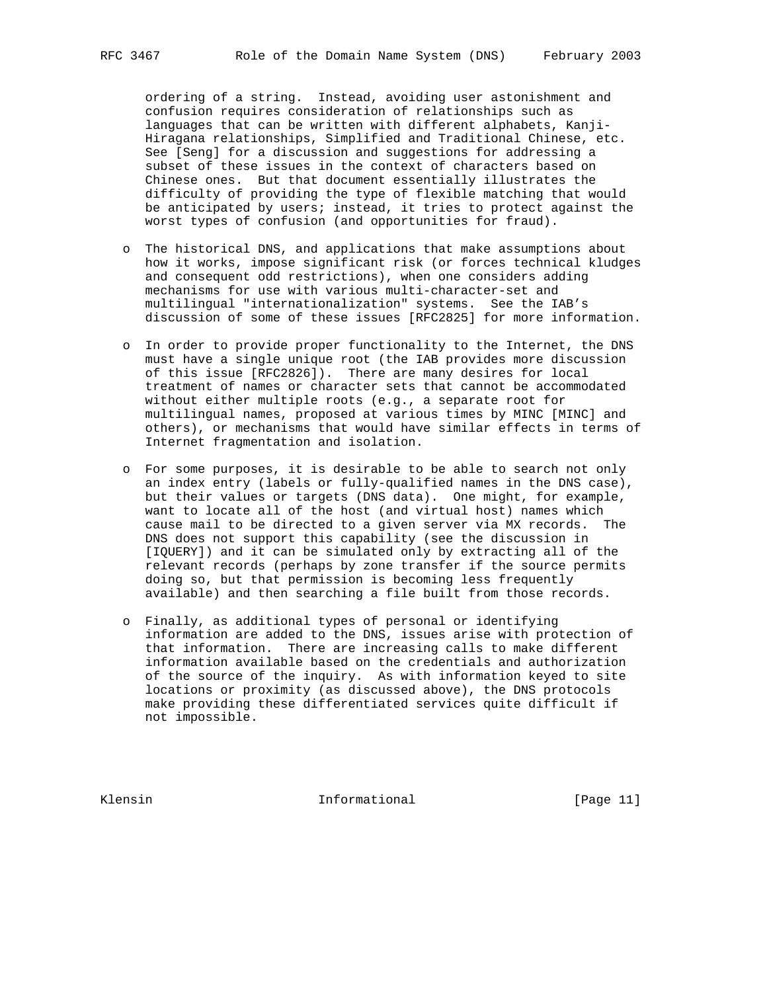ordering of a string. Instead, avoiding user astonishment and confusion requires consideration of relationships such as languages that can be written with different alphabets, Kanji- Hiragana relationships, Simplified and Traditional Chinese, etc. See [Seng] for a discussion and suggestions for addressing a subset of these issues in the context of characters based on Chinese ones. But that document essentially illustrates the difficulty of providing the type of flexible matching that would be anticipated by users; instead, it tries to protect against the worst types of confusion (and opportunities for fraud).

- o The historical DNS, and applications that make assumptions about how it works, impose significant risk (or forces technical kludges and consequent odd restrictions), when one considers adding mechanisms for use with various multi-character-set and multilingual "internationalization" systems. See the IAB's discussion of some of these issues [RFC2825] for more information.
- o In order to provide proper functionality to the Internet, the DNS must have a single unique root (the IAB provides more discussion of this issue [RFC2826]). There are many desires for local treatment of names or character sets that cannot be accommodated without either multiple roots (e.g., a separate root for multilingual names, proposed at various times by MINC [MINC] and others), or mechanisms that would have similar effects in terms of Internet fragmentation and isolation.
- o For some purposes, it is desirable to be able to search not only an index entry (labels or fully-qualified names in the DNS case), but their values or targets (DNS data). One might, for example, want to locate all of the host (and virtual host) names which cause mail to be directed to a given server via MX records. The DNS does not support this capability (see the discussion in [IQUERY]) and it can be simulated only by extracting all of the relevant records (perhaps by zone transfer if the source permits doing so, but that permission is becoming less frequently available) and then searching a file built from those records.
- o Finally, as additional types of personal or identifying information are added to the DNS, issues arise with protection of that information. There are increasing calls to make different information available based on the credentials and authorization of the source of the inquiry. As with information keyed to site locations or proximity (as discussed above), the DNS protocols make providing these differentiated services quite difficult if not impossible.

Klensin 10 Informational [Page 11]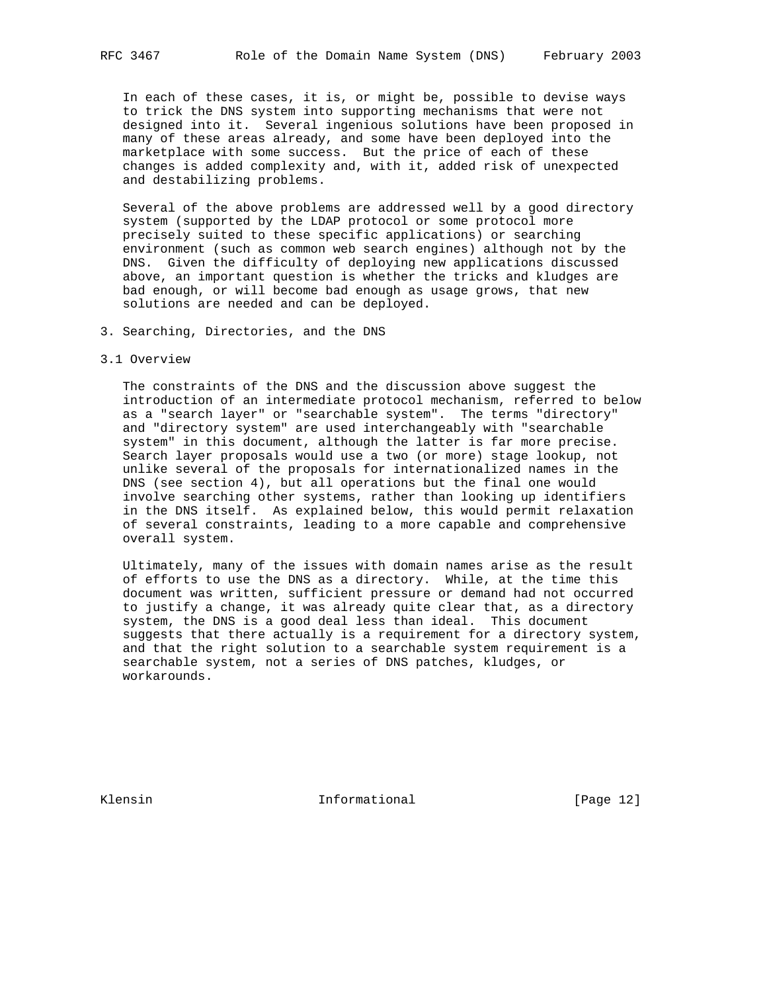In each of these cases, it is, or might be, possible to devise ways to trick the DNS system into supporting mechanisms that were not designed into it. Several ingenious solutions have been proposed in many of these areas already, and some have been deployed into the marketplace with some success. But the price of each of these changes is added complexity and, with it, added risk of unexpected and destabilizing problems.

 Several of the above problems are addressed well by a good directory system (supported by the LDAP protocol or some protocol more precisely suited to these specific applications) or searching environment (such as common web search engines) although not by the DNS. Given the difficulty of deploying new applications discussed above, an important question is whether the tricks and kludges are bad enough, or will become bad enough as usage grows, that new solutions are needed and can be deployed.

- 3. Searching, Directories, and the DNS
- 3.1 Overview

 The constraints of the DNS and the discussion above suggest the introduction of an intermediate protocol mechanism, referred to below as a "search layer" or "searchable system". The terms "directory" and "directory system" are used interchangeably with "searchable system" in this document, although the latter is far more precise. Search layer proposals would use a two (or more) stage lookup, not unlike several of the proposals for internationalized names in the DNS (see section 4), but all operations but the final one would involve searching other systems, rather than looking up identifiers in the DNS itself. As explained below, this would permit relaxation of several constraints, leading to a more capable and comprehensive overall system.

 Ultimately, many of the issues with domain names arise as the result of efforts to use the DNS as a directory. While, at the time this document was written, sufficient pressure or demand had not occurred to justify a change, it was already quite clear that, as a directory system, the DNS is a good deal less than ideal. This document suggests that there actually is a requirement for a directory system, and that the right solution to a searchable system requirement is a searchable system, not a series of DNS patches, kludges, or workarounds.

Klensin 10 Informational [Page 12]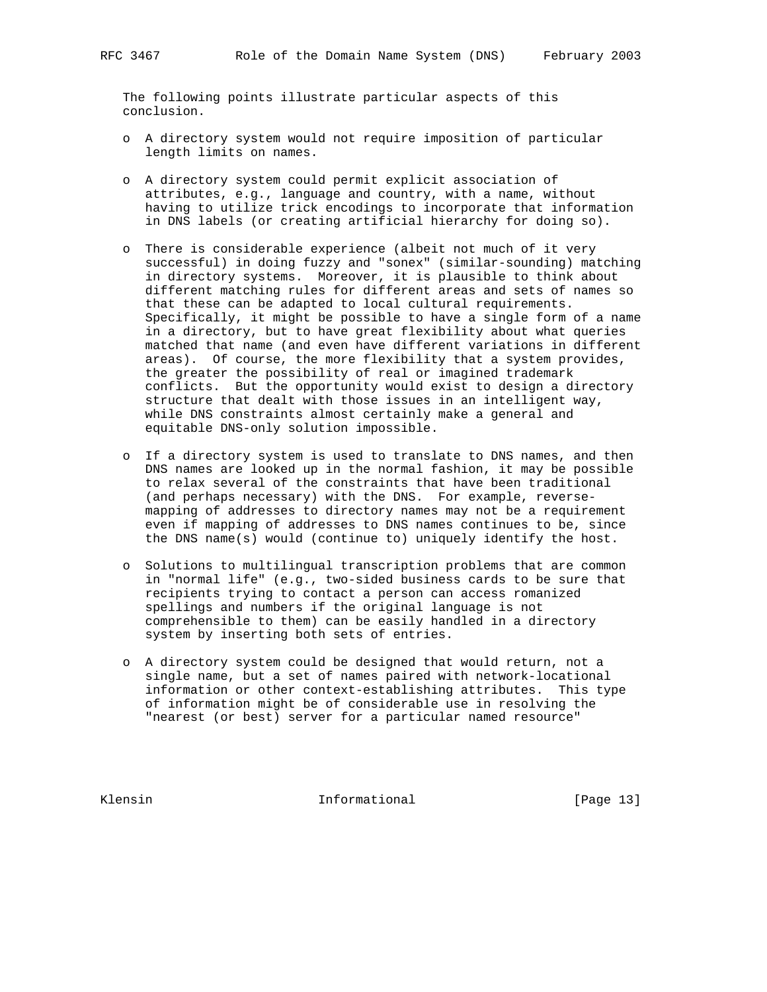The following points illustrate particular aspects of this conclusion.

- o A directory system would not require imposition of particular length limits on names.
- o A directory system could permit explicit association of attributes, e.g., language and country, with a name, without having to utilize trick encodings to incorporate that information in DNS labels (or creating artificial hierarchy for doing so).
- o There is considerable experience (albeit not much of it very successful) in doing fuzzy and "sonex" (similar-sounding) matching in directory systems. Moreover, it is plausible to think about different matching rules for different areas and sets of names so that these can be adapted to local cultural requirements. Specifically, it might be possible to have a single form of a name in a directory, but to have great flexibility about what queries matched that name (and even have different variations in different areas). Of course, the more flexibility that a system provides, the greater the possibility of real or imagined trademark conflicts. But the opportunity would exist to design a directory structure that dealt with those issues in an intelligent way, while DNS constraints almost certainly make a general and equitable DNS-only solution impossible.
- o If a directory system is used to translate to DNS names, and then DNS names are looked up in the normal fashion, it may be possible to relax several of the constraints that have been traditional (and perhaps necessary) with the DNS. For example, reverse mapping of addresses to directory names may not be a requirement even if mapping of addresses to DNS names continues to be, since the DNS name(s) would (continue to) uniquely identify the host.
- o Solutions to multilingual transcription problems that are common in "normal life" (e.g., two-sided business cards to be sure that recipients trying to contact a person can access romanized spellings and numbers if the original language is not comprehensible to them) can be easily handled in a directory system by inserting both sets of entries.
- o A directory system could be designed that would return, not a single name, but a set of names paired with network-locational information or other context-establishing attributes. This type of information might be of considerable use in resolving the "nearest (or best) server for a particular named resource"

Klensin 1nformational [Page 13]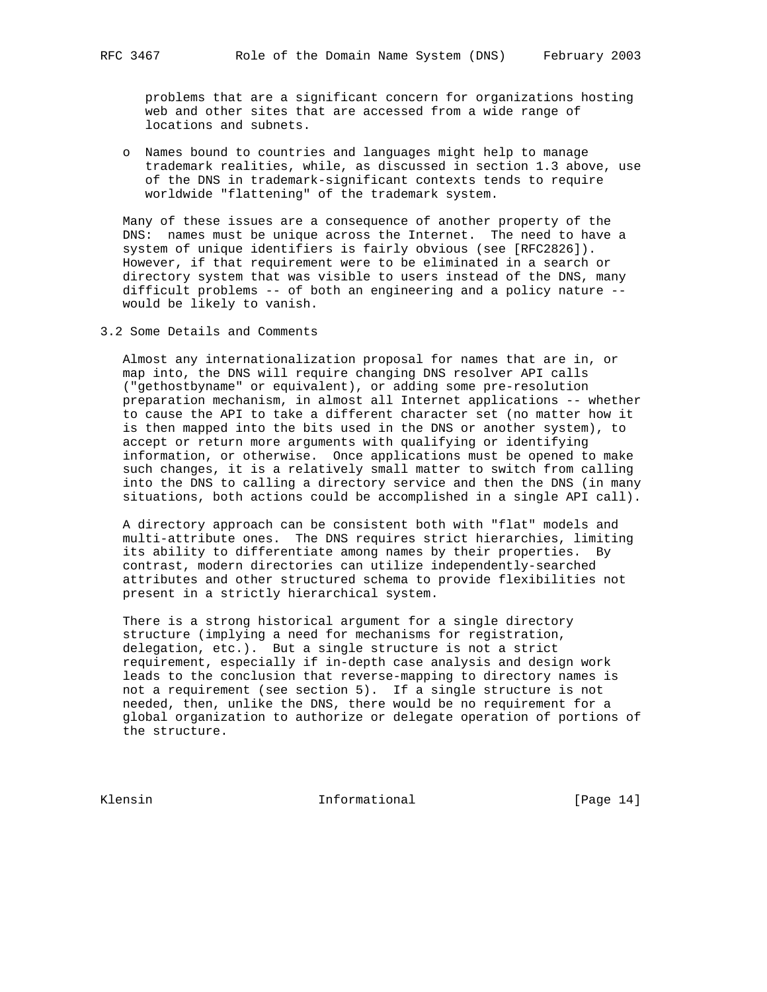problems that are a significant concern for organizations hosting web and other sites that are accessed from a wide range of locations and subnets.

 o Names bound to countries and languages might help to manage trademark realities, while, as discussed in section 1.3 above, use of the DNS in trademark-significant contexts tends to require worldwide "flattening" of the trademark system.

 Many of these issues are a consequence of another property of the DNS: names must be unique across the Internet. The need to have a system of unique identifiers is fairly obvious (see [RFC2826]). However, if that requirement were to be eliminated in a search or directory system that was visible to users instead of the DNS, many difficult problems -- of both an engineering and a policy nature - would be likely to vanish.

3.2 Some Details and Comments

 Almost any internationalization proposal for names that are in, or map into, the DNS will require changing DNS resolver API calls ("gethostbyname" or equivalent), or adding some pre-resolution preparation mechanism, in almost all Internet applications -- whether to cause the API to take a different character set (no matter how it is then mapped into the bits used in the DNS or another system), to accept or return more arguments with qualifying or identifying information, or otherwise. Once applications must be opened to make such changes, it is a relatively small matter to switch from calling into the DNS to calling a directory service and then the DNS (in many situations, both actions could be accomplished in a single API call).

 A directory approach can be consistent both with "flat" models and multi-attribute ones. The DNS requires strict hierarchies, limiting its ability to differentiate among names by their properties. By contrast, modern directories can utilize independently-searched attributes and other structured schema to provide flexibilities not present in a strictly hierarchical system.

 There is a strong historical argument for a single directory structure (implying a need for mechanisms for registration, delegation, etc.). But a single structure is not a strict requirement, especially if in-depth case analysis and design work leads to the conclusion that reverse-mapping to directory names is not a requirement (see section 5). If a single structure is not needed, then, unlike the DNS, there would be no requirement for a global organization to authorize or delegate operation of portions of the structure.

Klensin 10 Informational [Page 14]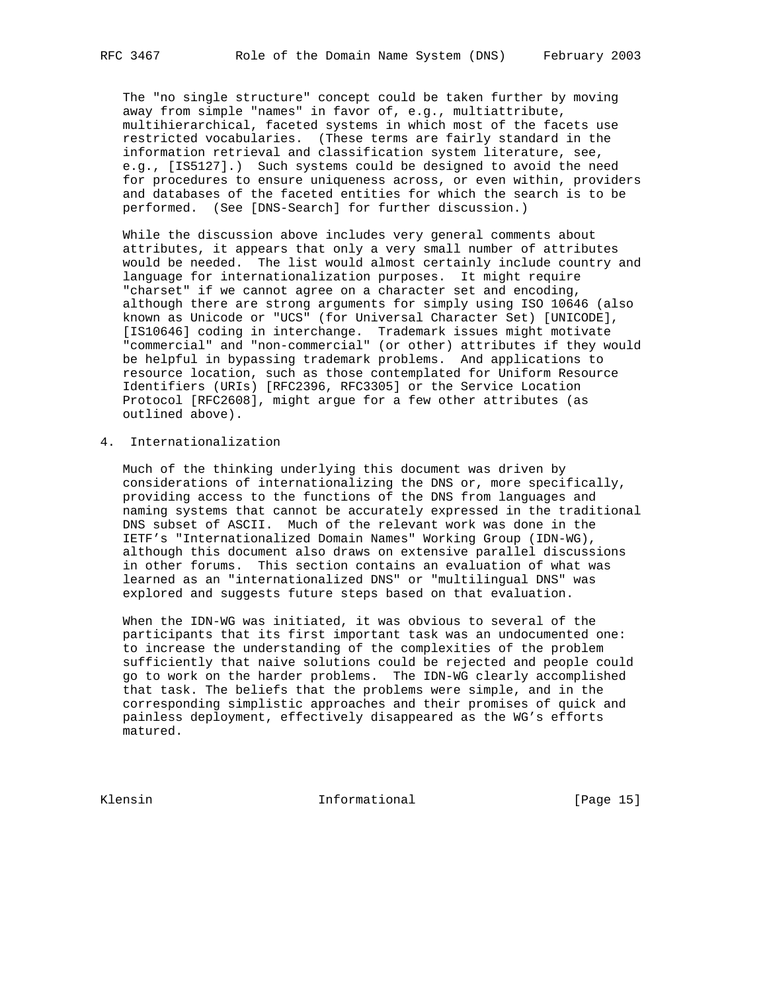The "no single structure" concept could be taken further by moving away from simple "names" in favor of, e.g., multiattribute, multihierarchical, faceted systems in which most of the facets use restricted vocabularies. (These terms are fairly standard in the information retrieval and classification system literature, see, e.g., [IS5127].) Such systems could be designed to avoid the need for procedures to ensure uniqueness across, or even within, providers and databases of the faceted entities for which the search is to be performed. (See [DNS-Search] for further discussion.)

 While the discussion above includes very general comments about attributes, it appears that only a very small number of attributes would be needed. The list would almost certainly include country and language for internationalization purposes. It might require "charset" if we cannot agree on a character set and encoding, although there are strong arguments for simply using ISO 10646 (also known as Unicode or "UCS" (for Universal Character Set) [UNICODE], [IS10646] coding in interchange. Trademark issues might motivate "commercial" and "non-commercial" (or other) attributes if they would be helpful in bypassing trademark problems. And applications to resource location, such as those contemplated for Uniform Resource Identifiers (URIs) [RFC2396, RFC3305] or the Service Location Protocol [RFC2608], might argue for a few other attributes (as outlined above).

4. Internationalization

 Much of the thinking underlying this document was driven by considerations of internationalizing the DNS or, more specifically, providing access to the functions of the DNS from languages and naming systems that cannot be accurately expressed in the traditional DNS subset of ASCII. Much of the relevant work was done in the IETF's "Internationalized Domain Names" Working Group (IDN-WG), although this document also draws on extensive parallel discussions in other forums. This section contains an evaluation of what was learned as an "internationalized DNS" or "multilingual DNS" was explored and suggests future steps based on that evaluation.

 When the IDN-WG was initiated, it was obvious to several of the participants that its first important task was an undocumented one: to increase the understanding of the complexities of the problem sufficiently that naive solutions could be rejected and people could go to work on the harder problems. The IDN-WG clearly accomplished that task. The beliefs that the problems were simple, and in the corresponding simplistic approaches and their promises of quick and painless deployment, effectively disappeared as the WG's efforts matured.

Klensin 10 Informational [Page 15]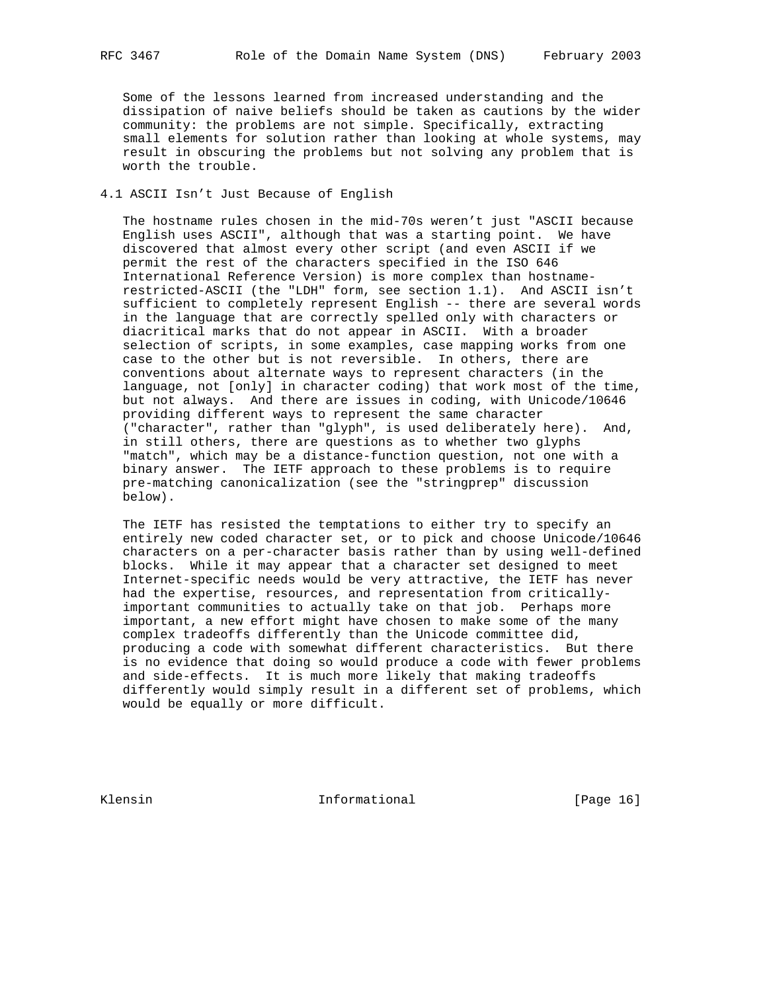Some of the lessons learned from increased understanding and the dissipation of naive beliefs should be taken as cautions by the wider community: the problems are not simple. Specifically, extracting small elements for solution rather than looking at whole systems, may result in obscuring the problems but not solving any problem that is worth the trouble.

### 4.1 ASCII Isn't Just Because of English

 The hostname rules chosen in the mid-70s weren't just "ASCII because English uses ASCII", although that was a starting point. We have discovered that almost every other script (and even ASCII if we permit the rest of the characters specified in the ISO 646 International Reference Version) is more complex than hostname restricted-ASCII (the "LDH" form, see section 1.1). And ASCII isn't sufficient to completely represent English -- there are several words in the language that are correctly spelled only with characters or diacritical marks that do not appear in ASCII. With a broader selection of scripts, in some examples, case mapping works from one case to the other but is not reversible. In others, there are conventions about alternate ways to represent characters (in the language, not [only] in character coding) that work most of the time, but not always. And there are issues in coding, with Unicode/10646 providing different ways to represent the same character ("character", rather than "glyph", is used deliberately here). And, in still others, there are questions as to whether two glyphs "match", which may be a distance-function question, not one with a binary answer. The IETF approach to these problems is to require pre-matching canonicalization (see the "stringprep" discussion below).

 The IETF has resisted the temptations to either try to specify an entirely new coded character set, or to pick and choose Unicode/10646 characters on a per-character basis rather than by using well-defined blocks. While it may appear that a character set designed to meet Internet-specific needs would be very attractive, the IETF has never had the expertise, resources, and representation from critically important communities to actually take on that job. Perhaps more important, a new effort might have chosen to make some of the many complex tradeoffs differently than the Unicode committee did, producing a code with somewhat different characteristics. But there is no evidence that doing so would produce a code with fewer problems and side-effects. It is much more likely that making tradeoffs differently would simply result in a different set of problems, which would be equally or more difficult.

Klensin 1nformational [Page 16]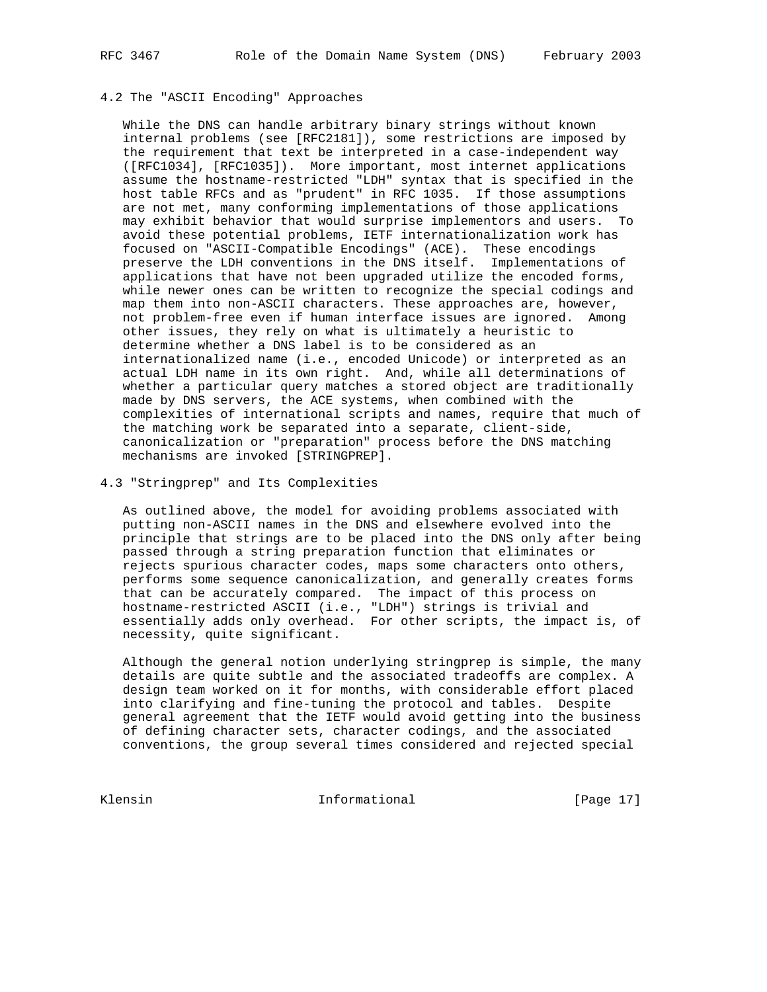# 4.2 The "ASCII Encoding" Approaches

 While the DNS can handle arbitrary binary strings without known internal problems (see [RFC2181]), some restrictions are imposed by the requirement that text be interpreted in a case-independent way ([RFC1034], [RFC1035]). More important, most internet applications assume the hostname-restricted "LDH" syntax that is specified in the host table RFCs and as "prudent" in RFC 1035. If those assumptions are not met, many conforming implementations of those applications may exhibit behavior that would surprise implementors and users. To avoid these potential problems, IETF internationalization work has focused on "ASCII-Compatible Encodings" (ACE). These encodings preserve the LDH conventions in the DNS itself. Implementations of applications that have not been upgraded utilize the encoded forms, while newer ones can be written to recognize the special codings and map them into non-ASCII characters. These approaches are, however, not problem-free even if human interface issues are ignored. Among other issues, they rely on what is ultimately a heuristic to determine whether a DNS label is to be considered as an internationalized name (i.e., encoded Unicode) or interpreted as an actual LDH name in its own right. And, while all determinations of whether a particular query matches a stored object are traditionally made by DNS servers, the ACE systems, when combined with the complexities of international scripts and names, require that much of the matching work be separated into a separate, client-side, canonicalization or "preparation" process before the DNS matching mechanisms are invoked [STRINGPREP].

4.3 "Stringprep" and Its Complexities

 As outlined above, the model for avoiding problems associated with putting non-ASCII names in the DNS and elsewhere evolved into the principle that strings are to be placed into the DNS only after being passed through a string preparation function that eliminates or rejects spurious character codes, maps some characters onto others, performs some sequence canonicalization, and generally creates forms that can be accurately compared. The impact of this process on hostname-restricted ASCII (i.e., "LDH") strings is trivial and essentially adds only overhead. For other scripts, the impact is, of necessity, quite significant.

 Although the general notion underlying stringprep is simple, the many details are quite subtle and the associated tradeoffs are complex. A design team worked on it for months, with considerable effort placed into clarifying and fine-tuning the protocol and tables. Despite general agreement that the IETF would avoid getting into the business of defining character sets, character codings, and the associated conventions, the group several times considered and rejected special

Klensin 10 Informational [Page 17]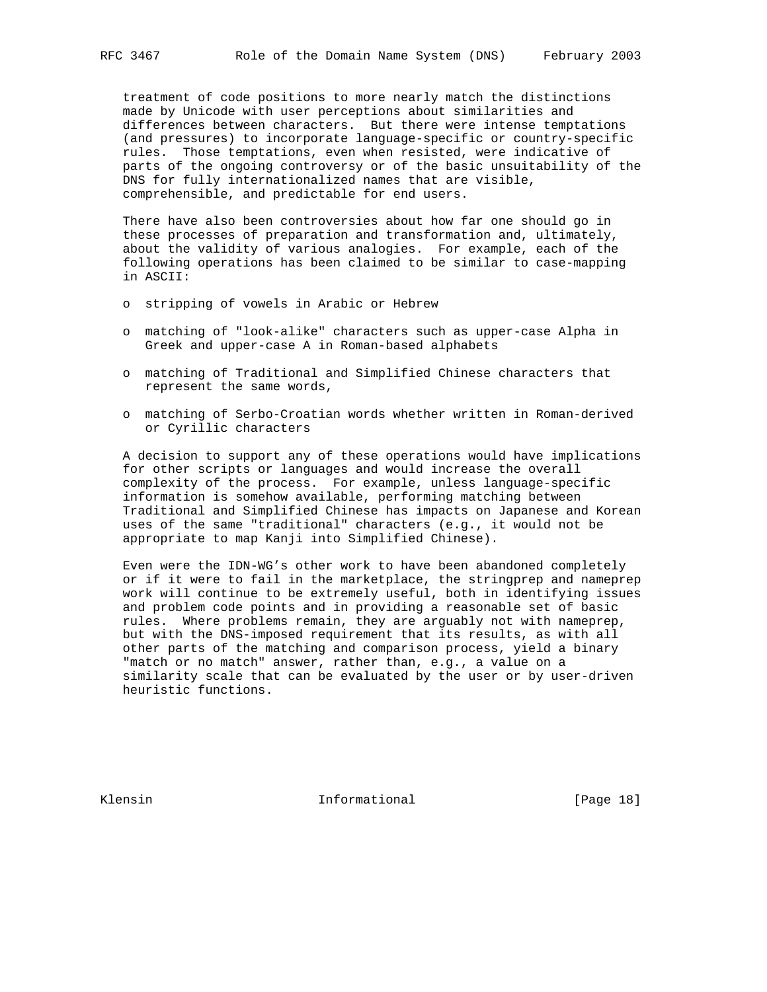treatment of code positions to more nearly match the distinctions made by Unicode with user perceptions about similarities and differences between characters. But there were intense temptations (and pressures) to incorporate language-specific or country-specific rules. Those temptations, even when resisted, were indicative of parts of the ongoing controversy or of the basic unsuitability of the DNS for fully internationalized names that are visible, comprehensible, and predictable for end users.

 There have also been controversies about how far one should go in these processes of preparation and transformation and, ultimately, about the validity of various analogies. For example, each of the following operations has been claimed to be similar to case-mapping in ASCII:

- o stripping of vowels in Arabic or Hebrew
- o matching of "look-alike" characters such as upper-case Alpha in Greek and upper-case A in Roman-based alphabets
- o matching of Traditional and Simplified Chinese characters that represent the same words,
- o matching of Serbo-Croatian words whether written in Roman-derived or Cyrillic characters

 A decision to support any of these operations would have implications for other scripts or languages and would increase the overall complexity of the process. For example, unless language-specific information is somehow available, performing matching between Traditional and Simplified Chinese has impacts on Japanese and Korean uses of the same "traditional" characters (e.g., it would not be appropriate to map Kanji into Simplified Chinese).

 Even were the IDN-WG's other work to have been abandoned completely or if it were to fail in the marketplace, the stringprep and nameprep work will continue to be extremely useful, both in identifying issues and problem code points and in providing a reasonable set of basic rules. Where problems remain, they are arguably not with nameprep, but with the DNS-imposed requirement that its results, as with all other parts of the matching and comparison process, yield a binary "match or no match" answer, rather than, e.g., a value on a similarity scale that can be evaluated by the user or by user-driven heuristic functions.

Klensin 10 and 10 and 10 and 11 and 10 and 10 and 10 and 10 and 10 and 10 and 10 and 10 and 10 and 10 and 10 and 10 and 10 and 10 and 10 and 10 and 10 and 10 and 10 and 10 and 10 and 10 and 10 and 10 and 10 and 10 and 10 a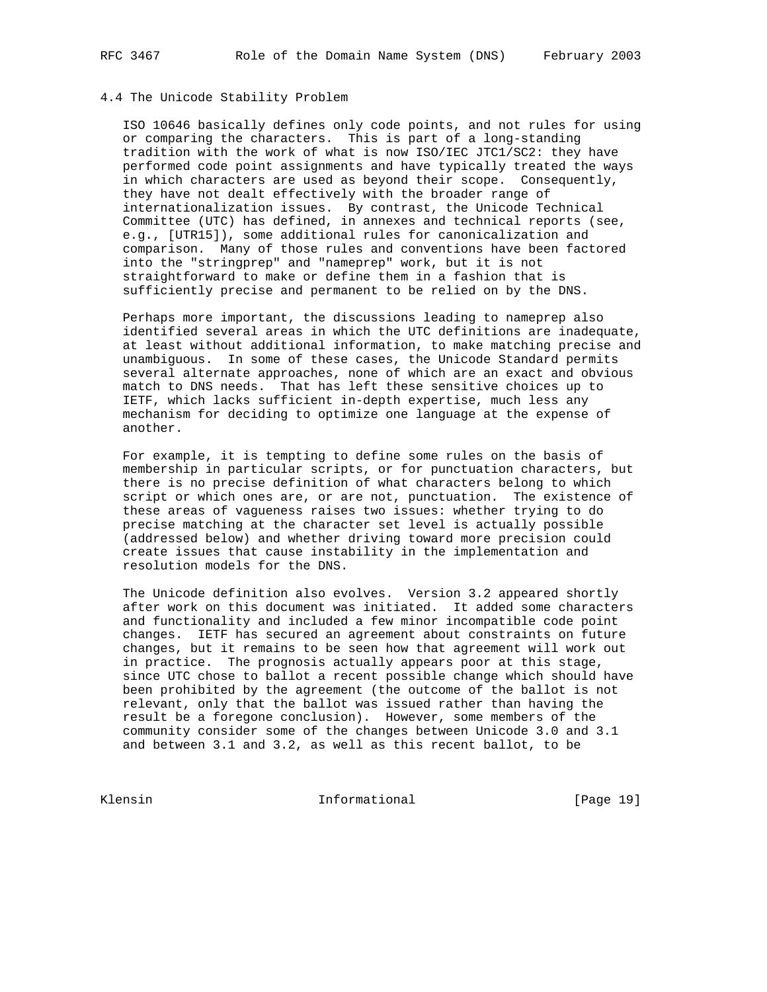### 4.4 The Unicode Stability Problem

 ISO 10646 basically defines only code points, and not rules for using or comparing the characters. This is part of a long-standing tradition with the work of what is now ISO/IEC JTC1/SC2: they have performed code point assignments and have typically treated the ways in which characters are used as beyond their scope. Consequently, they have not dealt effectively with the broader range of internationalization issues. By contrast, the Unicode Technical Committee (UTC) has defined, in annexes and technical reports (see, e.g., [UTR15]), some additional rules for canonicalization and comparison. Many of those rules and conventions have been factored into the "stringprep" and "nameprep" work, but it is not straightforward to make or define them in a fashion that is sufficiently precise and permanent to be relied on by the DNS.

 Perhaps more important, the discussions leading to nameprep also identified several areas in which the UTC definitions are inadequate, at least without additional information, to make matching precise and unambiguous. In some of these cases, the Unicode Standard permits several alternate approaches, none of which are an exact and obvious match to DNS needs. That has left these sensitive choices up to IETF, which lacks sufficient in-depth expertise, much less any mechanism for deciding to optimize one language at the expense of another.

 For example, it is tempting to define some rules on the basis of membership in particular scripts, or for punctuation characters, but there is no precise definition of what characters belong to which script or which ones are, or are not, punctuation. The existence of these areas of vagueness raises two issues: whether trying to do precise matching at the character set level is actually possible (addressed below) and whether driving toward more precision could create issues that cause instability in the implementation and resolution models for the DNS.

 The Unicode definition also evolves. Version 3.2 appeared shortly after work on this document was initiated. It added some characters and functionality and included a few minor incompatible code point changes. IETF has secured an agreement about constraints on future changes, but it remains to be seen how that agreement will work out in practice. The prognosis actually appears poor at this stage, since UTC chose to ballot a recent possible change which should have been prohibited by the agreement (the outcome of the ballot is not relevant, only that the ballot was issued rather than having the result be a foregone conclusion). However, some members of the community consider some of the changes between Unicode 3.0 and 3.1 and between 3.1 and 3.2, as well as this recent ballot, to be

Klensin 10 Informational [Page 19]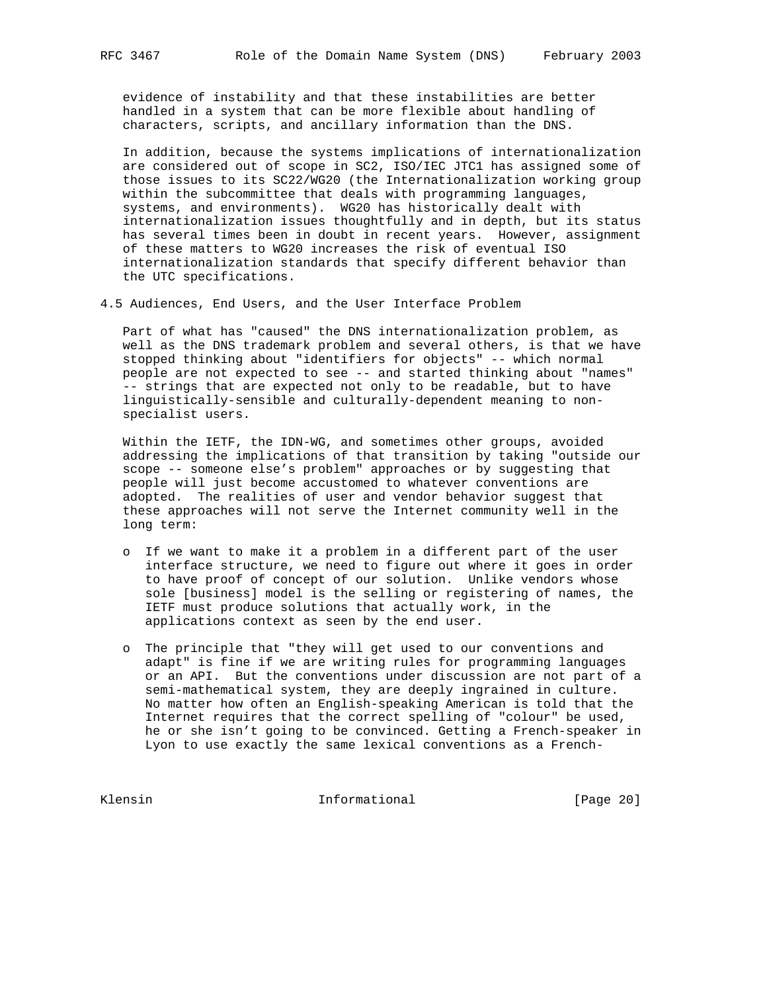evidence of instability and that these instabilities are better handled in a system that can be more flexible about handling of characters, scripts, and ancillary information than the DNS.

 In addition, because the systems implications of internationalization are considered out of scope in SC2, ISO/IEC JTC1 has assigned some of those issues to its SC22/WG20 (the Internationalization working group within the subcommittee that deals with programming languages, systems, and environments). WG20 has historically dealt with internationalization issues thoughtfully and in depth, but its status has several times been in doubt in recent years. However, assignment of these matters to WG20 increases the risk of eventual ISO internationalization standards that specify different behavior than the UTC specifications.

4.5 Audiences, End Users, and the User Interface Problem

 Part of what has "caused" the DNS internationalization problem, as well as the DNS trademark problem and several others, is that we have stopped thinking about "identifiers for objects" -- which normal people are not expected to see -- and started thinking about "names" -- strings that are expected not only to be readable, but to have linguistically-sensible and culturally-dependent meaning to non specialist users.

 Within the IETF, the IDN-WG, and sometimes other groups, avoided addressing the implications of that transition by taking "outside our scope -- someone else's problem" approaches or by suggesting that people will just become accustomed to whatever conventions are adopted. The realities of user and vendor behavior suggest that these approaches will not serve the Internet community well in the long term:

- o If we want to make it a problem in a different part of the user interface structure, we need to figure out where it goes in order to have proof of concept of our solution. Unlike vendors whose sole [business] model is the selling or registering of names, the IETF must produce solutions that actually work, in the applications context as seen by the end user.
- o The principle that "they will get used to our conventions and adapt" is fine if we are writing rules for programming languages or an API. But the conventions under discussion are not part of a semi-mathematical system, they are deeply ingrained in culture. No matter how often an English-speaking American is told that the Internet requires that the correct spelling of "colour" be used, he or she isn't going to be convinced. Getting a French-speaker in Lyon to use exactly the same lexical conventions as a French-

Klensin 10 Informational [Page 20]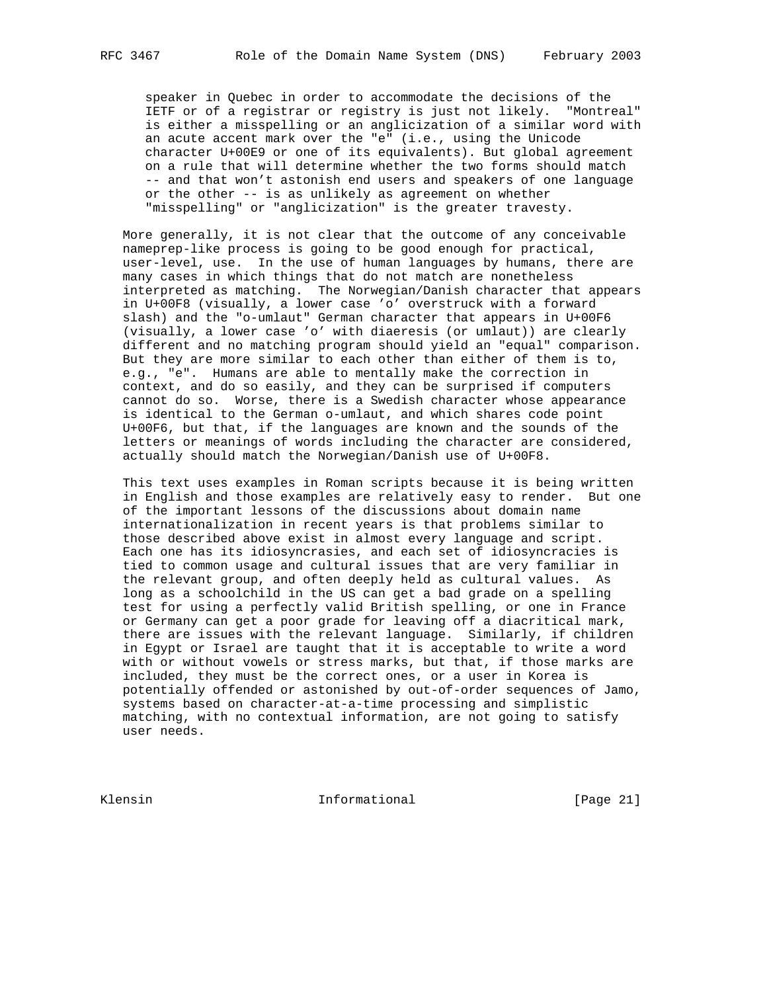speaker in Quebec in order to accommodate the decisions of the IETF or of a registrar or registry is just not likely. "Montreal" is either a misspelling or an anglicization of a similar word with an acute accent mark over the "e" (i.e., using the Unicode character U+00E9 or one of its equivalents). But global agreement on a rule that will determine whether the two forms should match -- and that won't astonish end users and speakers of one language or the other -- is as unlikely as agreement on whether "misspelling" or "anglicization" is the greater travesty.

 More generally, it is not clear that the outcome of any conceivable nameprep-like process is going to be good enough for practical, user-level, use. In the use of human languages by humans, there are many cases in which things that do not match are nonetheless interpreted as matching. The Norwegian/Danish character that appears in U+00F8 (visually, a lower case 'o' overstruck with a forward slash) and the "o-umlaut" German character that appears in U+00F6 (visually, a lower case 'o' with diaeresis (or umlaut)) are clearly different and no matching program should yield an "equal" comparison. But they are more similar to each other than either of them is to, e.g., "e". Humans are able to mentally make the correction in context, and do so easily, and they can be surprised if computers cannot do so. Worse, there is a Swedish character whose appearance is identical to the German o-umlaut, and which shares code point U+00F6, but that, if the languages are known and the sounds of the letters or meanings of words including the character are considered, actually should match the Norwegian/Danish use of U+00F8.

 This text uses examples in Roman scripts because it is being written in English and those examples are relatively easy to render. But one of the important lessons of the discussions about domain name internationalization in recent years is that problems similar to those described above exist in almost every language and script. Each one has its idiosyncrasies, and each set of idiosyncracies is tied to common usage and cultural issues that are very familiar in the relevant group, and often deeply held as cultural values. As long as a schoolchild in the US can get a bad grade on a spelling test for using a perfectly valid British spelling, or one in France or Germany can get a poor grade for leaving off a diacritical mark, there are issues with the relevant language. Similarly, if children in Egypt or Israel are taught that it is acceptable to write a word with or without vowels or stress marks, but that, if those marks are included, they must be the correct ones, or a user in Korea is potentially offended or astonished by out-of-order sequences of Jamo, systems based on character-at-a-time processing and simplistic matching, with no contextual information, are not going to satisfy user needs.

Klensin 10 Informational [Page 21]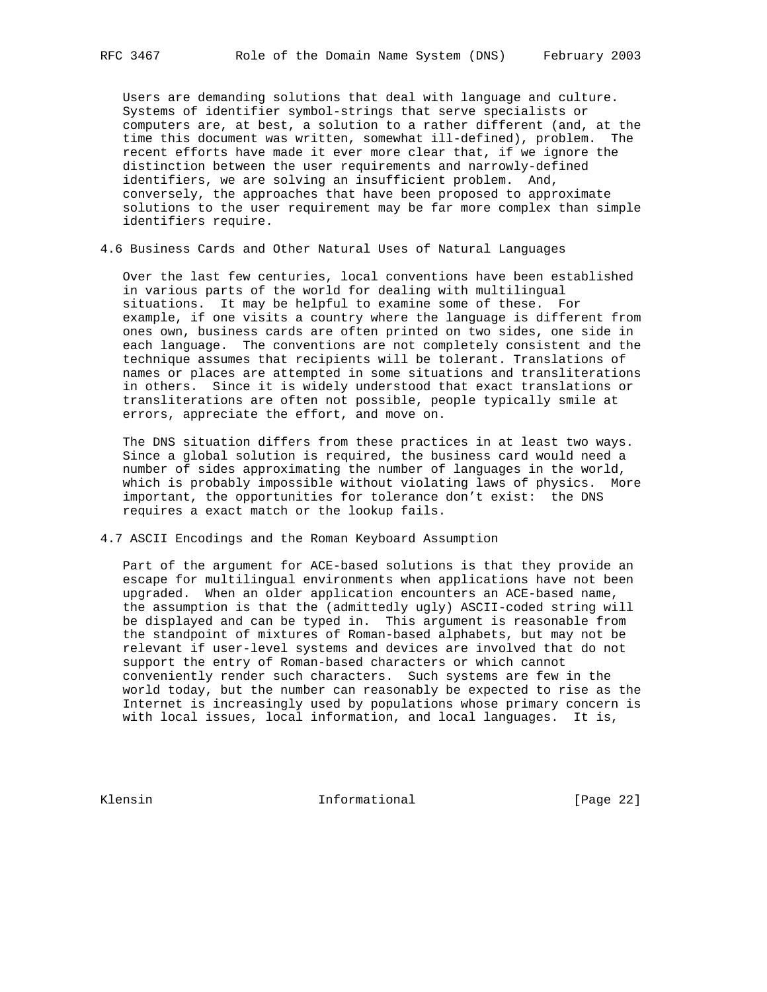Users are demanding solutions that deal with language and culture. Systems of identifier symbol-strings that serve specialists or computers are, at best, a solution to a rather different (and, at the time this document was written, somewhat ill-defined), problem. The recent efforts have made it ever more clear that, if we ignore the distinction between the user requirements and narrowly-defined identifiers, we are solving an insufficient problem. And, conversely, the approaches that have been proposed to approximate solutions to the user requirement may be far more complex than simple identifiers require.

4.6 Business Cards and Other Natural Uses of Natural Languages

 Over the last few centuries, local conventions have been established in various parts of the world for dealing with multilingual situations. It may be helpful to examine some of these. For example, if one visits a country where the language is different from ones own, business cards are often printed on two sides, one side in each language. The conventions are not completely consistent and the technique assumes that recipients will be tolerant. Translations of names or places are attempted in some situations and transliterations in others. Since it is widely understood that exact translations or transliterations are often not possible, people typically smile at errors, appreciate the effort, and move on.

 The DNS situation differs from these practices in at least two ways. Since a global solution is required, the business card would need a number of sides approximating the number of languages in the world, which is probably impossible without violating laws of physics. More important, the opportunities for tolerance don't exist: the DNS requires a exact match or the lookup fails.

4.7 ASCII Encodings and the Roman Keyboard Assumption

 Part of the argument for ACE-based solutions is that they provide an escape for multilingual environments when applications have not been upgraded. When an older application encounters an ACE-based name, the assumption is that the (admittedly ugly) ASCII-coded string will be displayed and can be typed in. This argument is reasonable from the standpoint of mixtures of Roman-based alphabets, but may not be relevant if user-level systems and devices are involved that do not support the entry of Roman-based characters or which cannot conveniently render such characters. Such systems are few in the world today, but the number can reasonably be expected to rise as the Internet is increasingly used by populations whose primary concern is with local issues, local information, and local languages. It is,

Klensin 1nformational [Page 22]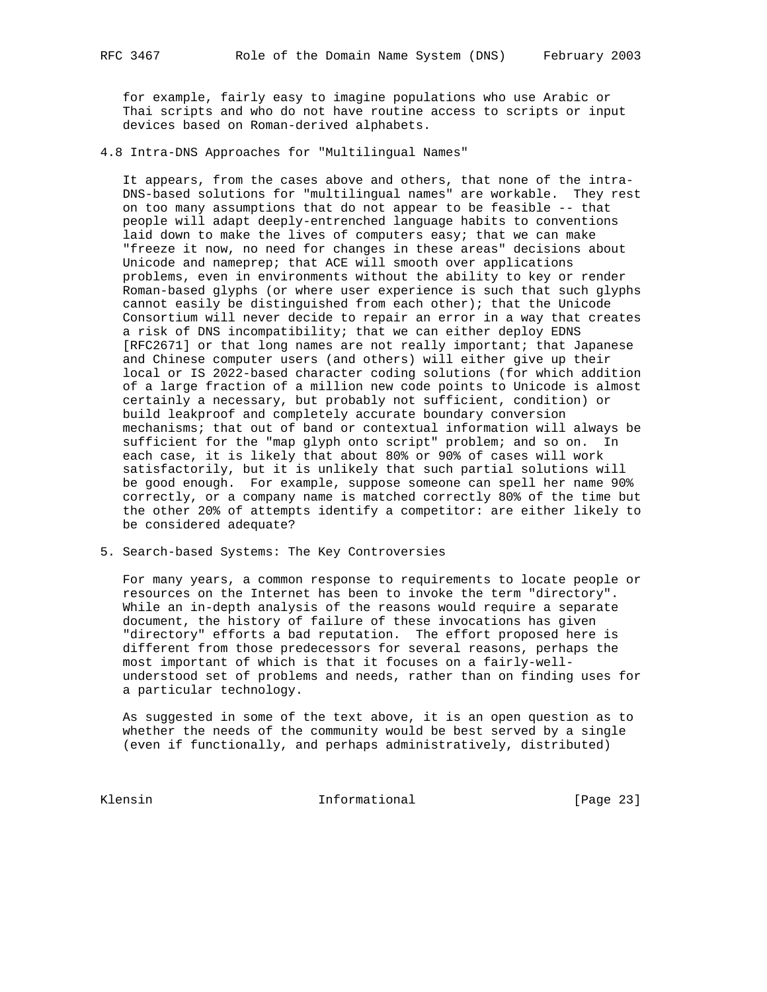for example, fairly easy to imagine populations who use Arabic or Thai scripts and who do not have routine access to scripts or input devices based on Roman-derived alphabets.

4.8 Intra-DNS Approaches for "Multilingual Names"

 It appears, from the cases above and others, that none of the intra- DNS-based solutions for "multilingual names" are workable. They rest on too many assumptions that do not appear to be feasible -- that people will adapt deeply-entrenched language habits to conventions laid down to make the lives of computers easy; that we can make "freeze it now, no need for changes in these areas" decisions about Unicode and nameprep; that ACE will smooth over applications problems, even in environments without the ability to key or render Roman-based glyphs (or where user experience is such that such glyphs cannot easily be distinguished from each other); that the Unicode Consortium will never decide to repair an error in a way that creates a risk of DNS incompatibility; that we can either deploy EDNS [RFC2671] or that long names are not really important; that Japanese and Chinese computer users (and others) will either give up their local or IS 2022-based character coding solutions (for which addition of a large fraction of a million new code points to Unicode is almost certainly a necessary, but probably not sufficient, condition) or build leakproof and completely accurate boundary conversion mechanisms; that out of band or contextual information will always be sufficient for the "map glyph onto script" problem; and so on. In each case, it is likely that about 80% or 90% of cases will work satisfactorily, but it is unlikely that such partial solutions will be good enough. For example, suppose someone can spell her name 90% correctly, or a company name is matched correctly 80% of the time but the other 20% of attempts identify a competitor: are either likely to be considered adequate?

5. Search-based Systems: The Key Controversies

 For many years, a common response to requirements to locate people or resources on the Internet has been to invoke the term "directory". While an in-depth analysis of the reasons would require a separate document, the history of failure of these invocations has given "directory" efforts a bad reputation. The effort proposed here is different from those predecessors for several reasons, perhaps the most important of which is that it focuses on a fairly-well understood set of problems and needs, rather than on finding uses for a particular technology.

 As suggested in some of the text above, it is an open question as to whether the needs of the community would be best served by a single (even if functionally, and perhaps administratively, distributed)

Klensin 10 Informational [Page 23]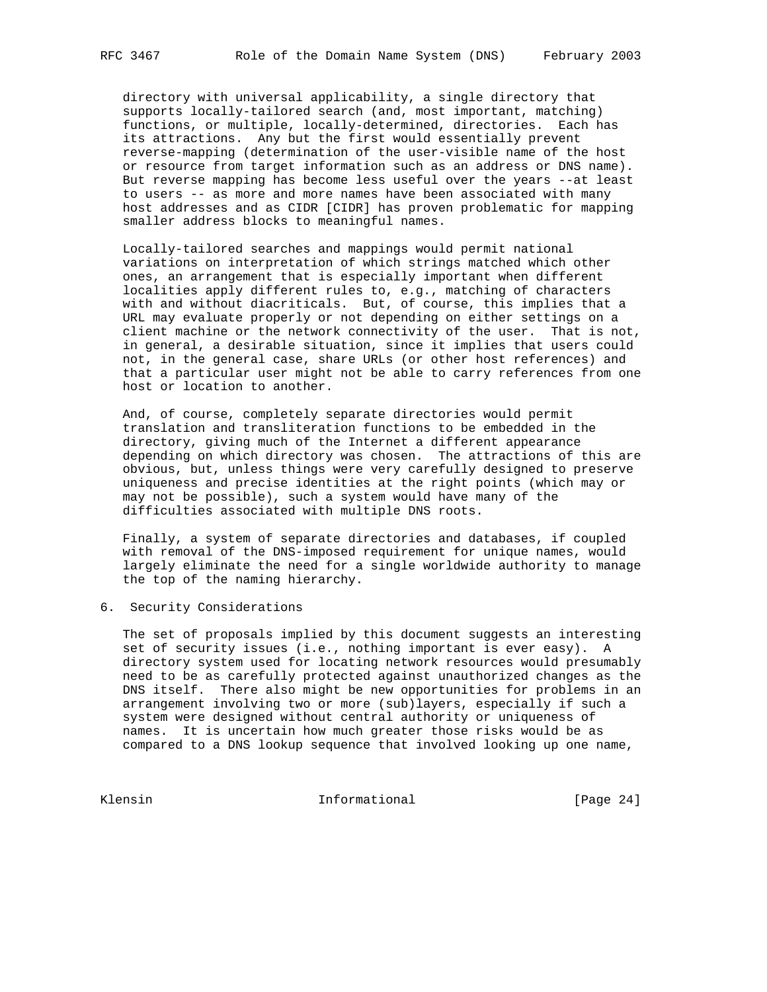directory with universal applicability, a single directory that supports locally-tailored search (and, most important, matching) functions, or multiple, locally-determined, directories. Each has its attractions. Any but the first would essentially prevent reverse-mapping (determination of the user-visible name of the host or resource from target information such as an address or DNS name). But reverse mapping has become less useful over the years --at least to users -- as more and more names have been associated with many host addresses and as CIDR [CIDR] has proven problematic for mapping smaller address blocks to meaningful names.

 Locally-tailored searches and mappings would permit national variations on interpretation of which strings matched which other ones, an arrangement that is especially important when different localities apply different rules to, e.g., matching of characters with and without diacriticals. But, of course, this implies that a URL may evaluate properly or not depending on either settings on a client machine or the network connectivity of the user. That is not, in general, a desirable situation, since it implies that users could not, in the general case, share URLs (or other host references) and that a particular user might not be able to carry references from one host or location to another.

 And, of course, completely separate directories would permit translation and transliteration functions to be embedded in the directory, giving much of the Internet a different appearance depending on which directory was chosen. The attractions of this are obvious, but, unless things were very carefully designed to preserve uniqueness and precise identities at the right points (which may or may not be possible), such a system would have many of the difficulties associated with multiple DNS roots.

 Finally, a system of separate directories and databases, if coupled with removal of the DNS-imposed requirement for unique names, would largely eliminate the need for a single worldwide authority to manage the top of the naming hierarchy.

6. Security Considerations

 The set of proposals implied by this document suggests an interesting set of security issues (i.e., nothing important is ever easy). A directory system used for locating network resources would presumably need to be as carefully protected against unauthorized changes as the DNS itself. There also might be new opportunities for problems in an arrangement involving two or more (sub)layers, especially if such a system were designed without central authority or uniqueness of names. It is uncertain how much greater those risks would be as compared to a DNS lookup sequence that involved looking up one name,

Klensin 10 Informational [Page 24]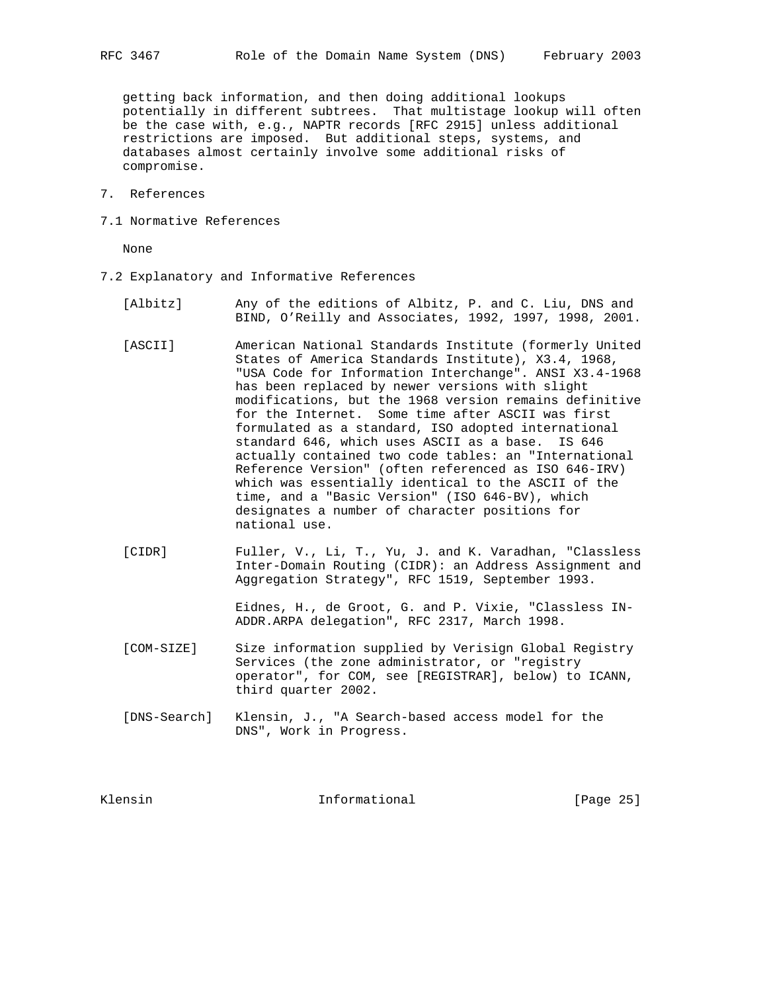getting back information, and then doing additional lookups potentially in different subtrees. That multistage lookup will often be the case with, e.g., NAPTR records [RFC 2915] unless additional restrictions are imposed. But additional steps, systems, and databases almost certainly involve some additional risks of compromise.

- 7. References
- 7.1 Normative References

None

- 7.2 Explanatory and Informative References
	- [Albitz] Any of the editions of Albitz, P. and C. Liu, DNS and BIND, O'Reilly and Associates, 1992, 1997, 1998, 2001.
	- [ASCII] American National Standards Institute (formerly United States of America Standards Institute), X3.4, 1968, "USA Code for Information Interchange". ANSI X3.4-1968 has been replaced by newer versions with slight modifications, but the 1968 version remains definitive for the Internet. Some time after ASCII was first formulated as a standard, ISO adopted international standard 646, which uses ASCII as a base. IS 646 actually contained two code tables: an "International Reference Version" (often referenced as ISO 646-IRV) which was essentially identical to the ASCII of the time, and a "Basic Version" (ISO 646-BV), which designates a number of character positions for national use.
	- [CIDR] Fuller, V., Li, T., Yu, J. and K. Varadhan, "Classless Inter-Domain Routing (CIDR): an Address Assignment and Aggregation Strategy", RFC 1519, September 1993.

 Eidnes, H., de Groot, G. and P. Vixie, "Classless IN- ADDR.ARPA delegation", RFC 2317, March 1998.

- [COM-SIZE] Size information supplied by Verisign Global Registry Services (the zone administrator, or "registry operator", for COM, see [REGISTRAR], below) to ICANN, third quarter 2002.
- [DNS-Search] Klensin, J., "A Search-based access model for the DNS", Work in Progress.

Klensin 10 and 10 and 11 and 11 and 11 and 12 and 12 and 12 and 12 and 12 and 12 and 12 and 12 and 12 and 12 and 12 and 12 and 12 and 12 and 12 and 12 and 12 and 12 and 12 and 12 and 12 and 12 and 12 and 12 and 12 and 12 a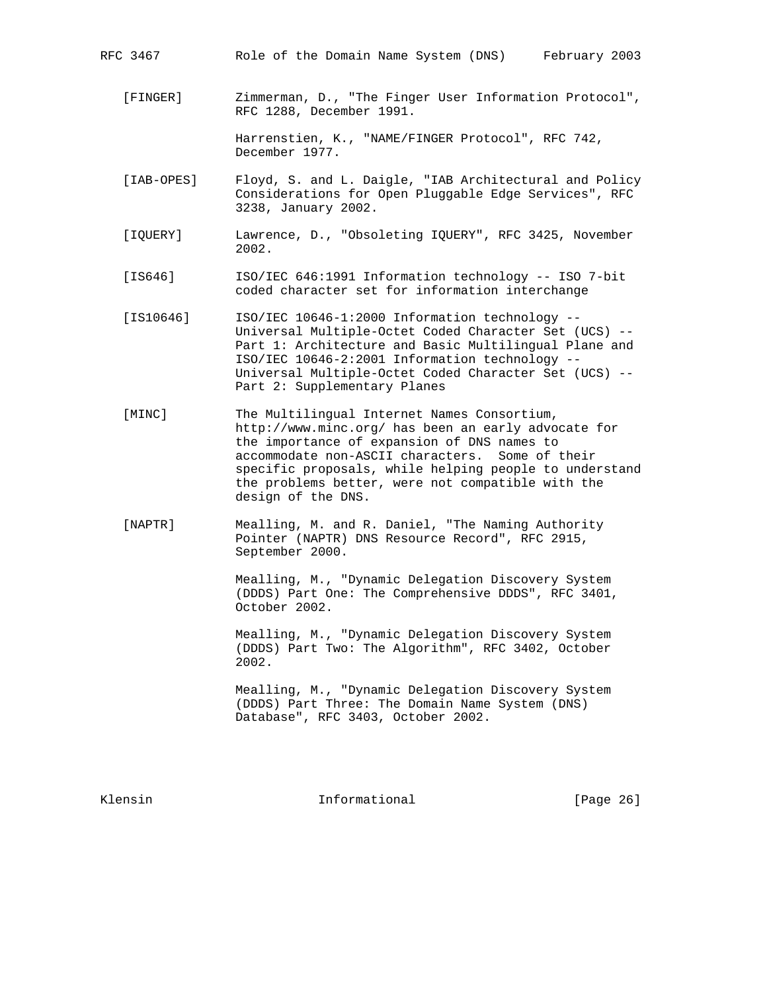- RFC 3467 Role of the Domain Name System (DNS) February 2003
	- [FINGER] Zimmerman, D., "The Finger User Information Protocol", RFC 1288, December 1991.

 Harrenstien, K., "NAME/FINGER Protocol", RFC 742, December 1977.

- [IAB-OPES] Floyd, S. and L. Daigle, "IAB Architectural and Policy Considerations for Open Pluggable Edge Services", RFC 3238, January 2002.
- [IQUERY] Lawrence, D., "Obsoleting IQUERY", RFC 3425, November 2002.
- [IS646] ISO/IEC 646:1991 Information technology -- ISO 7-bit coded character set for information interchange
- [IS10646] ISO/IEC 10646-1:2000 Information technology -- Universal Multiple-Octet Coded Character Set (UCS) -- Part 1: Architecture and Basic Multilingual Plane and ISO/IEC 10646-2:2001 Information technology -- Universal Multiple-Octet Coded Character Set (UCS) -- Part 2: Supplementary Planes
- [MINC] The Multilingual Internet Names Consortium, http://www.minc.org/ has been an early advocate for the importance of expansion of DNS names to accommodate non-ASCII characters. Some of their specific proposals, while helping people to understand the problems better, were not compatible with the design of the DNS.
- [NAPTR] Mealling, M. and R. Daniel, "The Naming Authority Pointer (NAPTR) DNS Resource Record", RFC 2915, September 2000.

 Mealling, M., "Dynamic Delegation Discovery System (DDDS) Part One: The Comprehensive DDDS", RFC 3401, October 2002.

 Mealling, M., "Dynamic Delegation Discovery System (DDDS) Part Two: The Algorithm", RFC 3402, October 2002.

 Mealling, M., "Dynamic Delegation Discovery System (DDDS) Part Three: The Domain Name System (DNS) Database", RFC 3403, October 2002.

Klensin 10 Informational [Page 26]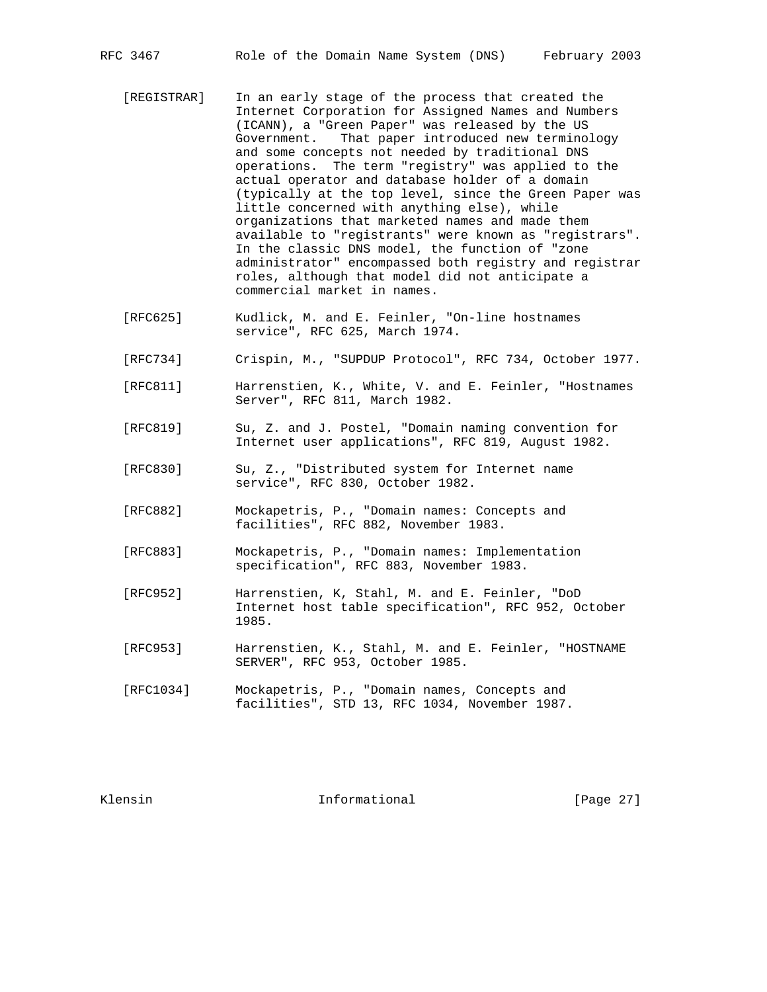- [REGISTRAR] In an early stage of the process that created the Internet Corporation for Assigned Names and Numbers (ICANN), a "Green Paper" was released by the US Government. That paper introduced new terminology and some concepts not needed by traditional DNS operations. The term "registry" was applied to the actual operator and database holder of a domain (typically at the top level, since the Green Paper was little concerned with anything else), while organizations that marketed names and made them available to "registrants" were known as "registrars". In the classic DNS model, the function of "zone administrator" encompassed both registry and registrar roles, although that model did not anticipate a commercial market in names.
- [RFC625] Kudlick, M. and E. Feinler, "On-line hostnames service", RFC 625, March 1974.
- [RFC734] Crispin, M., "SUPDUP Protocol", RFC 734, October 1977.
- [RFC811] Harrenstien, K., White, V. and E. Feinler, "Hostnames Server", RFC 811, March 1982.
- [RFC819] Su, Z. and J. Postel, "Domain naming convention for Internet user applications", RFC 819, August 1982.
- [RFC830] Su, Z., "Distributed system for Internet name service", RFC 830, October 1982.
- [RFC882] Mockapetris, P., "Domain names: Concepts and facilities", RFC 882, November 1983.
- [RFC883] Mockapetris, P., "Domain names: Implementation specification", RFC 883, November 1983.
- [RFC952] Harrenstien, K, Stahl, M. and E. Feinler, "DoD Internet host table specification", RFC 952, October 1985.
- [RFC953] Harrenstien, K., Stahl, M. and E. Feinler, "HOSTNAME SERVER", RFC 953, October 1985.
- [RFC1034] Mockapetris, P., "Domain names, Concepts and facilities", STD 13, RFC 1034, November 1987.

Klensin 10 and 10 and 111 and 111 and 112 and 112 and 112 and 123 and 124 and 125 and 127 and 128 and 128 and 1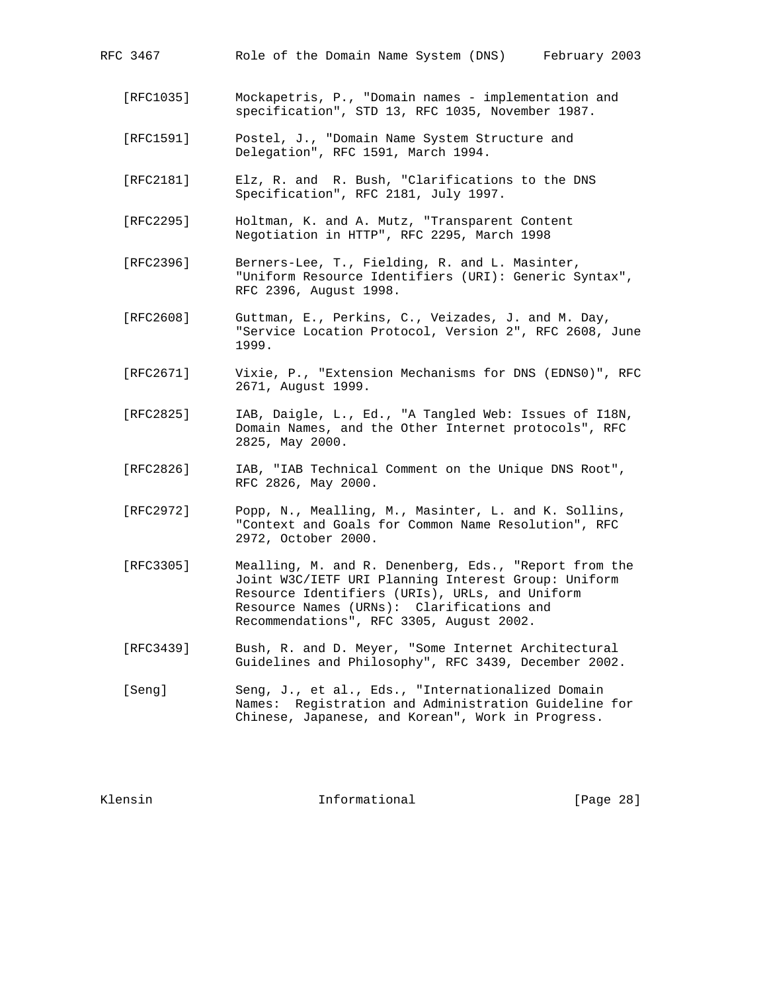| RFC 3467 |  |  |  |  |  |  | Role of the Domain Name System (DNS) |  | February 2003 |  |  |
|----------|--|--|--|--|--|--|--------------------------------------|--|---------------|--|--|
|----------|--|--|--|--|--|--|--------------------------------------|--|---------------|--|--|

- [RFC1035] Mockapetris, P., "Domain names implementation and specification", STD 13, RFC 1035, November 1987.
- [RFC1591] Postel, J., "Domain Name System Structure and Delegation", RFC 1591, March 1994.
- [RFC2181] Elz, R. and R. Bush, "Clarifications to the DNS Specification", RFC 2181, July 1997.
- [RFC2295] Holtman, K. and A. Mutz, "Transparent Content Negotiation in HTTP", RFC 2295, March 1998
- [RFC2396] Berners-Lee, T., Fielding, R. and L. Masinter, "Uniform Resource Identifiers (URI): Generic Syntax", RFC 2396, August 1998.
- [RFC2608] Guttman, E., Perkins, C., Veizades, J. and M. Day, "Service Location Protocol, Version 2", RFC 2608, June 1999.
- [RFC2671] Vixie, P., "Extension Mechanisms for DNS (EDNS0)", RFC 2671, August 1999.
- [RFC2825] IAB, Daigle, L., Ed., "A Tangled Web: Issues of I18N, Domain Names, and the Other Internet protocols", RFC 2825, May 2000.
- [RFC2826] IAB, "IAB Technical Comment on the Unique DNS Root", RFC 2826, May 2000.
- [RFC2972] Popp, N., Mealling, M., Masinter, L. and K. Sollins, "Context and Goals for Common Name Resolution", RFC 2972, October 2000.
- [RFC3305] Mealling, M. and R. Denenberg, Eds., "Report from the Joint W3C/IETF URI Planning Interest Group: Uniform Resource Identifiers (URIs), URLs, and Uniform Resource Names (URNs): Clarifications and Recommendations", RFC 3305, August 2002.
- [RFC3439] Bush, R. and D. Meyer, "Some Internet Architectural Guidelines and Philosophy", RFC 3439, December 2002.
- [Seng] Seng, J., et al., Eds., "Internationalized Domain Names: Registration and Administration Guideline for Chinese, Japanese, and Korean", Work in Progress.

Klensin 10 and 10 and 111 and 111 and 111 and 12 and 12 and 12 and 12 and 12 and 12 and 12 and 12 and 12 and 1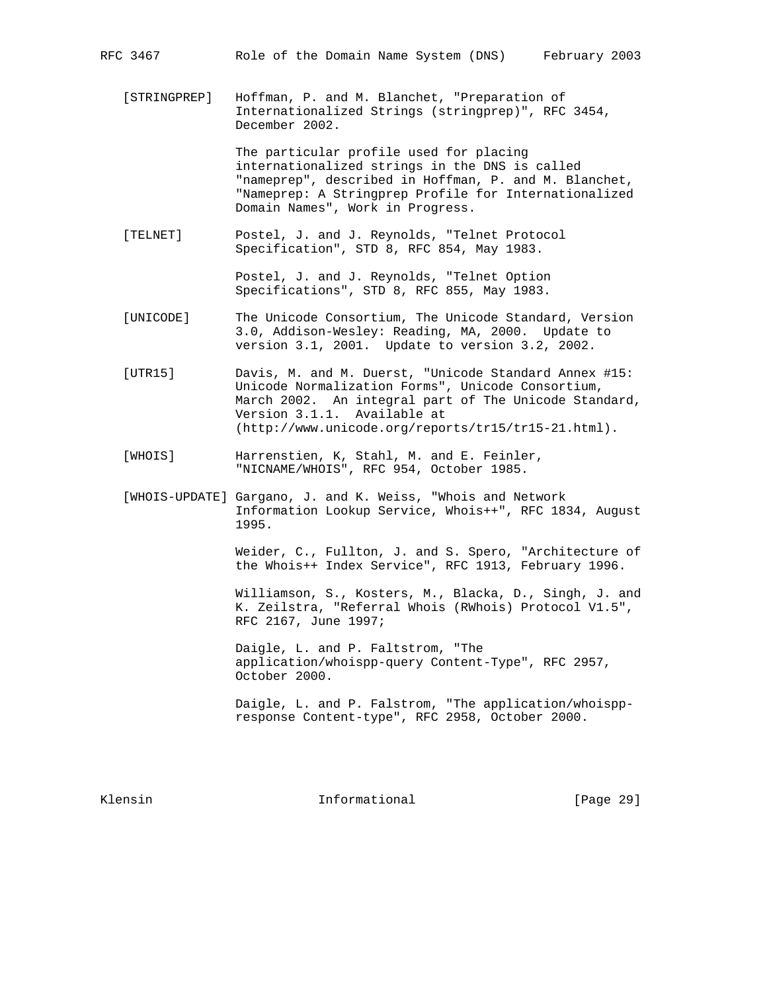[STRINGPREP] Hoffman, P. and M. Blanchet, "Preparation of Internationalized Strings (stringprep)", RFC 3454, December 2002.

> The particular profile used for placing internationalized strings in the DNS is called "nameprep", described in Hoffman, P. and M. Blanchet, "Nameprep: A Stringprep Profile for Internationalized Domain Names", Work in Progress.

 [TELNET] Postel, J. and J. Reynolds, "Telnet Protocol Specification", STD 8, RFC 854, May 1983.

> Postel, J. and J. Reynolds, "Telnet Option Specifications", STD 8, RFC 855, May 1983.

- [UNICODE] The Unicode Consortium, The Unicode Standard, Version 3.0, Addison-Wesley: Reading, MA, 2000. Update to version 3.1, 2001. Update to version 3.2, 2002.
- [UTR15] Davis, M. and M. Duerst, "Unicode Standard Annex #15: Unicode Normalization Forms", Unicode Consortium, March 2002. An integral part of The Unicode Standard, Version 3.1.1. Available at (http://www.unicode.org/reports/tr15/tr15-21.html).
- [WHOIS] Harrenstien, K, Stahl, M. and E. Feinler, "NICNAME/WHOIS", RFC 954, October 1985.
- [WHOIS-UPDATE] Gargano, J. and K. Weiss, "Whois and Network Information Lookup Service, Whois++", RFC 1834, August 1995.

 Weider, C., Fullton, J. and S. Spero, "Architecture of the Whois++ Index Service", RFC 1913, February 1996.

 Williamson, S., Kosters, M., Blacka, D., Singh, J. and K. Zeilstra, "Referral Whois (RWhois) Protocol V1.5", RFC 2167, June 1997;

 Daigle, L. and P. Faltstrom, "The application/whoispp-query Content-Type", RFC 2957, October 2000.

 Daigle, L. and P. Falstrom, "The application/whoispp response Content-type", RFC 2958, October 2000.

Klensin 10 Contractional Theorem Informational (Page 29)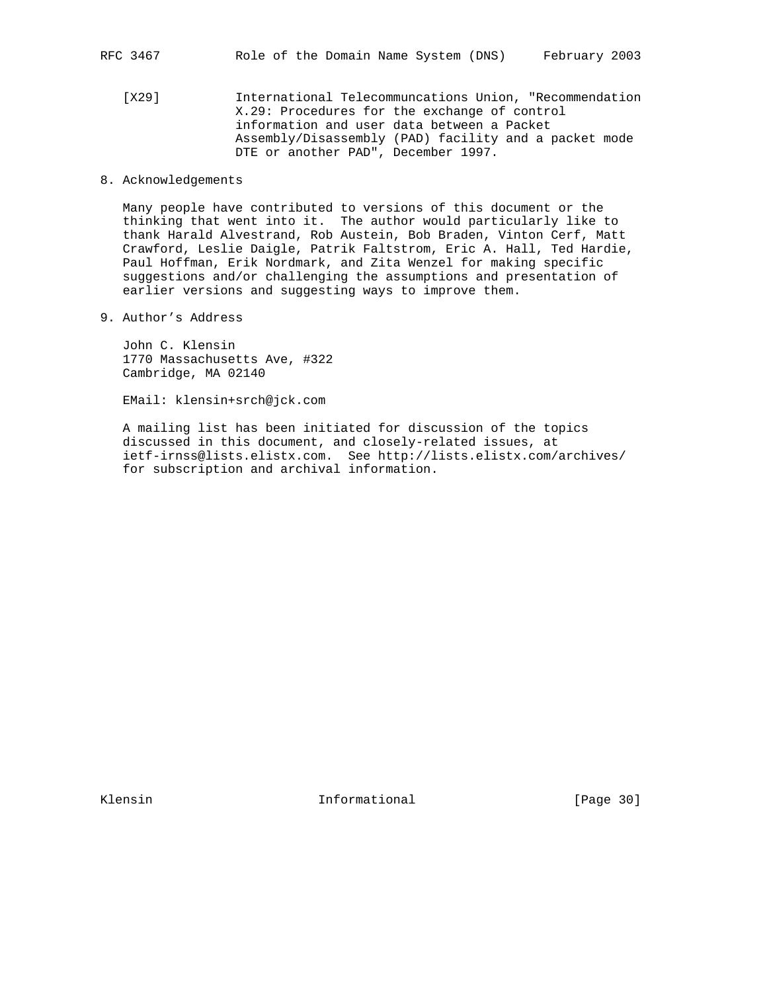[X29] International Telecommuncations Union, "Recommendation X.29: Procedures for the exchange of control information and user data between a Packet Assembly/Disassembly (PAD) facility and a packet mode DTE or another PAD", December 1997.

### 8. Acknowledgements

 Many people have contributed to versions of this document or the thinking that went into it. The author would particularly like to thank Harald Alvestrand, Rob Austein, Bob Braden, Vinton Cerf, Matt Crawford, Leslie Daigle, Patrik Faltstrom, Eric A. Hall, Ted Hardie, Paul Hoffman, Erik Nordmark, and Zita Wenzel for making specific suggestions and/or challenging the assumptions and presentation of earlier versions and suggesting ways to improve them.

9. Author's Address

 John C. Klensin 1770 Massachusetts Ave, #322 Cambridge, MA 02140

EMail: klensin+srch@jck.com

 A mailing list has been initiated for discussion of the topics discussed in this document, and closely-related issues, at ietf-irnss@lists.elistx.com. See http://lists.elistx.com/archives/ for subscription and archival information.

Klensin 1nformational [Page 30]